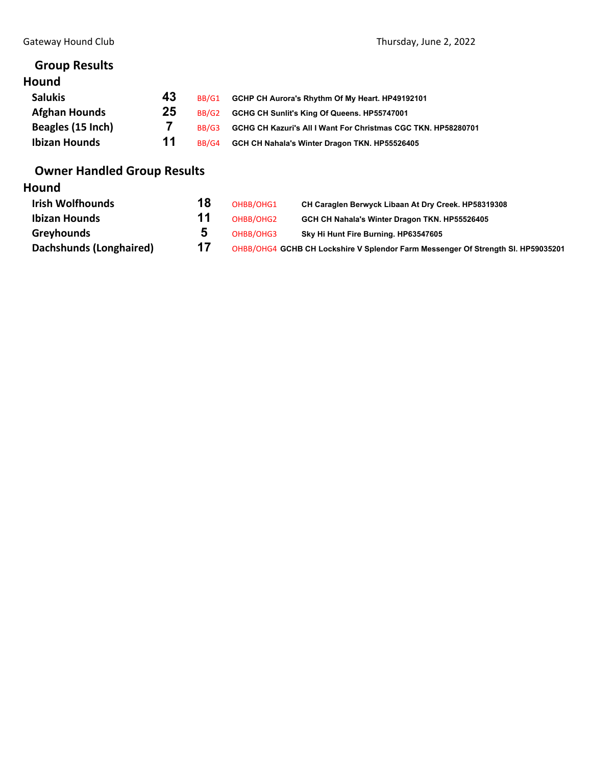# **Group Results**

# **Hound**

| <b>Salukis</b>       | 43 | BB/G1 | GCHP CH Aurora's Rhythm Of My Heart. HP49192101               |
|----------------------|----|-------|---------------------------------------------------------------|
| <b>Afghan Hounds</b> | 25 | BB/G2 | GCHG CH Sunlit's King Of Queens. HP55747001                   |
| Beagles (15 Inch)    |    | BB/G3 | GCHG CH Kazuri's All I Want For Christmas CGC TKN. HP58280701 |
| <b>Ibizan Hounds</b> | 11 | BB/G4 | GCH CH Nahala's Winter Dragon TKN. HP55526405                 |

# **Owner Handled Group Results**

# **Hound**

| <b>Irish Wolfhounds</b> | 18 | OHBB/OHG1 | CH Caraglen Berwyck Libaan At Dry Creek. HP58319308                              |
|-------------------------|----|-----------|----------------------------------------------------------------------------------|
| <b>Ibizan Hounds</b>    |    | OHBB/OHG2 | GCH CH Nahala's Winter Dragon TKN. HP55526405                                    |
| Greyhounds              |    | OHBB/OHG3 | Sky Hi Hunt Fire Burning. HP63547605                                             |
| Dachshunds (Longhaired) | 17 |           | OHBB/OHG4 GCHB CH Lockshire V Splendor Farm Messenger Of Strength SI. HP59035201 |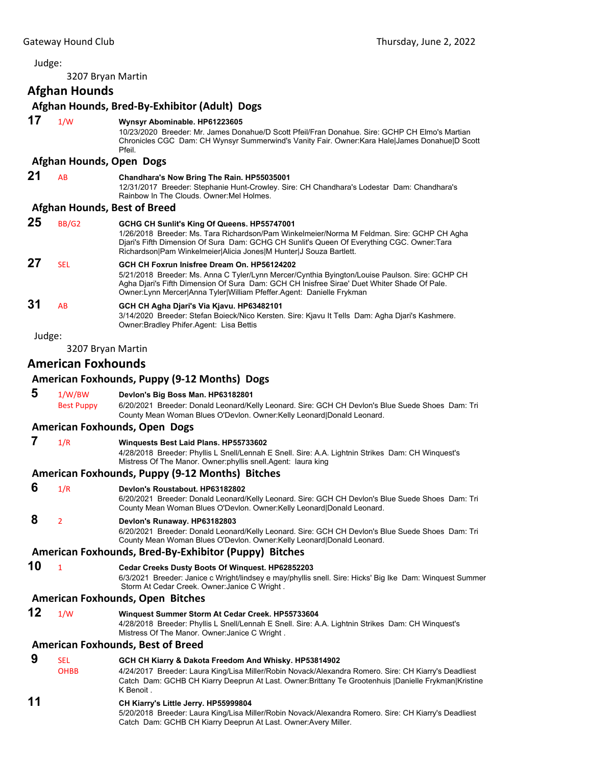### Judge:

3207 Bryan Martin

**Afghan Hounds**

#### **Afghan Hounds, Bred‐By‐Exhibitor (Adult) Dogs**

# **17** 1/W **Wynsyr Abominable. HP61223605**

10/23/2020 Breeder: Mr. James Donahue/D Scott Pfeil/Fran Donahue. Sire: GCHP CH Elmo's Martian Chronicles CGC Dam: CH Wynsyr Summerwind's Vanity Fair. Owner:Kara Hale|James Donahue|D Scott Pfeil.

#### **Afghan Hounds, Open Dogs**

### **21** AB **Chandhara's Now Bring The Rain. HP55035001**

12/31/2017 Breeder: Stephanie Hunt-Crowley. Sire: CH Chandhara's Lodestar Dam: Chandhara's Rainbow In The Clouds. Owner:Mel Holmes.

#### **Afghan Hounds, Best of Breed**

| 25     | BB/G2      | GCHG CH Sunlit's King Of Queens. HP55747001<br>1/26/2018 Breeder: Ms. Tara Richardson/Pam Winkelmeier/Norma M Feldman. Sire: GCHP CH Agha<br>Diari's Fifth Dimension Of Sura Dam: GCHG CH Sunlit's Queen Of Everything CGC. Owner: Tara<br>Richardson Pam Winkelmeier Alicia Jones M Hunter J Souza Bartlett.          |
|--------|------------|------------------------------------------------------------------------------------------------------------------------------------------------------------------------------------------------------------------------------------------------------------------------------------------------------------------------|
| 27     | <b>SEL</b> | GCH CH Foxrun Inisfree Dream On. HP56124202<br>5/21/2018 Breeder: Ms. Anna C Tyler/Lynn Mercer/Cynthia Byington/Louise Paulson. Sire: GCHP CH<br>Agha Diari's Fifth Dimension Of Sura Dam: GCH CH Inisfree Sirae' Duet Whiter Shade Of Pale.<br>Owner: Lynn Mercer Anna Tyler William Pfeffer. Agent: Danielle Frykman |
| 31     | AB         | GCH CH Agha Djari's Via Kjavu. HP63482101<br>3/14/2020 Breeder: Stefan Boieck/Nico Kersten. Sire: Kjavu It Tells Dam: Agha Djari's Kashmere.<br>Owner: Bradley Phifer. Agent: Lisa Bettis                                                                                                                              |
| Judge: |            |                                                                                                                                                                                                                                                                                                                        |

3207 Bryan Martin

#### **American Foxhounds**

#### **American Foxhounds, Puppy (9‐12 Months) Dogs**

| 5 | 1/W/BW            | Devlon's Big Boss Man. HP63182801                                                                |
|---|-------------------|--------------------------------------------------------------------------------------------------|
|   | <b>Best Puppy</b> | 6/20/2021 Breeder: Donald Leonard/Kelly Leonard. Sire: GCH CH Devlon's Blue Suede Shoes Dam: Tri |
|   |                   | County Mean Woman Blues O'Devlon. Owner: Kelly Leonard Donald Leonard.                           |

#### **American Foxhounds, Open Dogs**

### **7** 1/R **Winquests Best Laid Plans. HP55733602**

4/28/2018 Breeder: Phyllis L Snell/Lennah E Snell. Sire: A.A. Lightnin Strikes Dam: CH Winquest's Mistress Of The Manor. Owner:phyllis snell.Agent: laura king

#### **American Foxhounds, Puppy (9‐12 Months) Bitches**

#### **6** 1/R **Devlon's Roustabout. HP63182802**

6/20/2021 Breeder: Donald Leonard/Kelly Leonard. Sire: GCH CH Devlon's Blue Suede Shoes Dam: Tri County Mean Woman Blues O'Devlon. Owner:Kelly Leonard|Donald Leonard.

# **8** <sup>2</sup> **Devlon's Runaway. HP63182803**

6/20/2021 Breeder: Donald Leonard/Kelly Leonard. Sire: GCH CH Devlon's Blue Suede Shoes Dam: Tri County Mean Woman Blues O'Devlon. Owner:Kelly Leonard|Donald Leonard.

## **American Foxhounds, Bred‐By‐Exhibitor (Puppy) Bitches**

**10** <sup>1</sup> **Cedar Creeks Dusty Boots Of Winquest. HP62852203** 6/3/2021 Breeder: Janice c Wright/lindsey e may/phyllis snell. Sire: Hicks' Big Ike Dam: Winquest Summer Storm At Cedar Creek. Owner:Janice C Wright .

#### **American Foxhounds, Open Bitches**

**12** 1/W **Winquest Summer Storm At Cedar Creek. HP55733604** 4/28/2018 Breeder: Phyllis L Snell/Lennah E Snell. Sire: A.A. Lightnin Strikes Dam: CH Winquest's Mistress Of The Manor. Owner:Janice C Wright .

#### **American Foxhounds, Best of Breed**

### **9** SEL **GCH CH Kiarry & Dakota Freedom And Whisky. HP53814902**

- OHBB 4/24/2017 Breeder: Laura King/Lisa Miller/Robin Novack/Alexandra Romero. Sire: CH Kiarry's Deadliest Catch Dam: GCHB CH Kiarry Deeprun At Last. Owner:Brittany Te Grootenhuis |Danielle Frykman|Kristine K Benoit .
- **11 CH Kiarry's Little Jerry. HP55999804**
	- 5/20/2018 Breeder: Laura King/Lisa Miller/Robin Novack/Alexandra Romero. Sire: CH Kiarry's Deadliest Catch Dam: GCHB CH Kiarry Deeprun At Last. Owner:Avery Miller.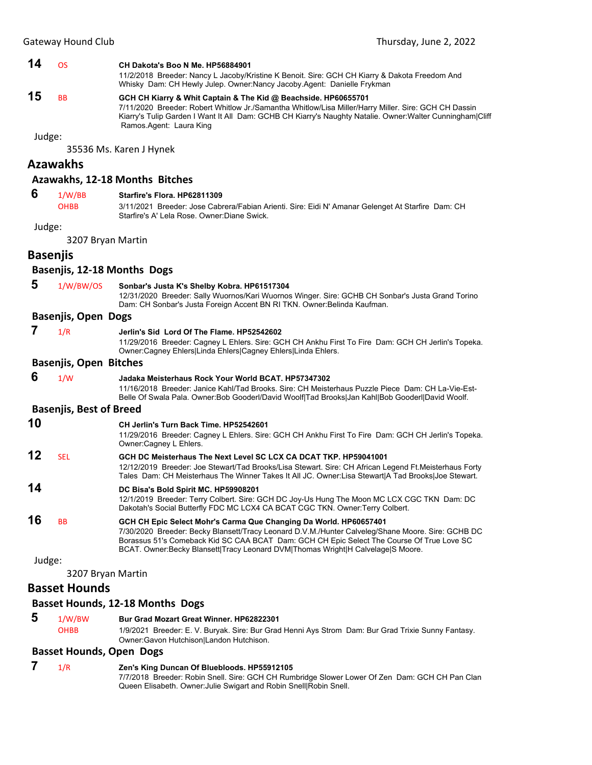#### **14** OS **CH Dakota's Boo N Me. HP56884901**

11/2/2018 Breeder: Nancy L Jacoby/Kristine K Benoit. Sire: GCH CH Kiarry & Dakota Freedom And Whisky Dam: CH Hewly Julep. Owner:Nancy Jacoby.Agent: Danielle Frykman

# **15** BB **GCH CH Kiarry & Whit Captain & The Kid @ Beachside. HP60655701**

7/11/2020 Breeder: Robert Whitlow Jr./Samantha Whitlow/Lisa Miller/Harry Miller. Sire: GCH CH Dassin Kiarry's Tulip Garden I Want It All Dam: GCHB CH Kiarry's Naughty Natalie. Owner:Walter Cunningham|Cliff Ramos.Agent: Laura King

Judge:

35536 Ms. Karen J Hynek

# **Azawakhs**

#### **Azawakhs, 12‐18 Months Bitches**

| 6               | 1/W/BB                         | Starfire's Flora, HP62811309                                                                                                                                                                                                                                                                                                                           |
|-----------------|--------------------------------|--------------------------------------------------------------------------------------------------------------------------------------------------------------------------------------------------------------------------------------------------------------------------------------------------------------------------------------------------------|
|                 | <b>OHBB</b>                    | 3/11/2021 Breeder: Jose Cabrera/Fabian Arienti. Sire: Eidi N' Amanar Gelenget At Starfire Dam: CH<br>Starfire's A' Lela Rose, Owner:Diane Swick,                                                                                                                                                                                                       |
| Judge:          |                                |                                                                                                                                                                                                                                                                                                                                                        |
|                 | 3207 Bryan Martin              |                                                                                                                                                                                                                                                                                                                                                        |
| <b>Basenjis</b> |                                |                                                                                                                                                                                                                                                                                                                                                        |
|                 |                                | Basenjis, 12-18 Months Dogs                                                                                                                                                                                                                                                                                                                            |
| 5               | 1/W/BW/OS                      | Sonbar's Justa K's Shelby Kobra. HP61517304<br>12/31/2020 Breeder: Sally Wuornos/Kari Wuornos Winger. Sire: GCHB CH Sonbar's Justa Grand Torino<br>Dam: CH Sonbar's Justa Foreign Accent BN RI TKN. Owner: Belinda Kaufman.                                                                                                                            |
|                 | <b>Basenjis, Open Dogs</b>     |                                                                                                                                                                                                                                                                                                                                                        |
| 7               | 1/R                            | Jerlin's Sid Lord Of The Flame. HP52542602<br>11/29/2016 Breeder: Cagney L Ehlers. Sire: GCH CH Ankhu First To Fire Dam: GCH CH Jerlin's Topeka.<br>Owner:Cagney Ehlers Linda Ehlers Cagney Ehlers Linda Ehlers.                                                                                                                                       |
|                 | <b>Basenjis, Open Bitches</b>  |                                                                                                                                                                                                                                                                                                                                                        |
| 6               | 1/W                            | Jadaka Meisterhaus Rock Your World BCAT. HP57347302<br>11/16/2018 Breeder: Janice Kahl/Tad Brooks. Sire: CH Meisterhaus Puzzle Piece Dam: CH La-Vie-Est-<br>Belle Of Swala Pala. Owner: Bob Gooderl/David Woolf Tad Brooks Jan Kahl Bob Gooderl David Woolf.                                                                                           |
|                 | <b>Basenjis, Best of Breed</b> |                                                                                                                                                                                                                                                                                                                                                        |
| 10              |                                | CH Jerlin's Turn Back Time, HP52542601<br>11/29/2016 Breeder: Cagney L Ehlers. Sire: GCH CH Ankhu First To Fire Dam: GCH CH Jerlin's Topeka.<br>Owner:Cagney L Ehlers.                                                                                                                                                                                 |
| 12              | <b>SEL</b>                     | GCH DC Meisterhaus The Next Level SC LCX CA DCAT TKP. HP59041001<br>12/12/2019 Breeder: Joe Stewart/Tad Brooks/Lisa Stewart. Sire: CH African Legend Ft. Meisterhaus Forty<br>Tales Dam: CH Meisterhaus The Winner Takes It All JC. Owner:Lisa Stewart A Tad Brooks Joe Stewart.                                                                       |
| 14              |                                | DC Bisa's Bold Spirit MC. HP59908201<br>12/1/2019 Breeder: Terry Colbert. Sire: GCH DC Joy-Us Hung The Moon MC LCX CGC TKN Dam: DC<br>Dakotah's Social Butterfly FDC MC LCX4 CA BCAT CGC TKN. Owner: Terry Colbert.                                                                                                                                    |
| 16              | <b>BB</b>                      | GCH CH Epic Select Mohr's Carma Que Changing Da World. HP60657401<br>7/30/2020 Breeder: Becky Blansett/Tracy Leonard D.V.M./Hunter Calveleg/Shane Moore. Sire: GCHB DC<br>Borassus 51's Comeback Kid SC CAA BCAT Dam: GCH CH Epic Select The Course Of True Love SC<br>BCAT. Owner:Becky Blansett Tracy Leonard DVM Thomas Wright H Calvelage S Moore. |
| Judge:          |                                |                                                                                                                                                                                                                                                                                                                                                        |
|                 | 3207 Bryan Martin              |                                                                                                                                                                                                                                                                                                                                                        |
|                 | <b>Basset Hounds</b>           |                                                                                                                                                                                                                                                                                                                                                        |

#### **Basset Hounds, 12‐18 Months Dogs**

 **5** 1/W/BW **Bur Grad Mozart Great Winner. HP62822301** OHBB 1/9/2021 Breeder: E. V. Buryak. Sire: Bur Grad Henni Ays Strom Dam: Bur Grad Trixie Sunny Fantasy. Owner:Gavon Hutchison|Landon Hutchison.

#### **Basset Hounds, Open Dogs**

# **7** 1/R **Zen's King Duncan Of Bluebloods. HP55912105**

7/7/2018 Breeder: Robin Snell. Sire: GCH CH Rumbridge Slower Lower Of Zen Dam: GCH CH Pan Clan Queen Elisabeth. Owner: Julie Swigart and Robin Snell|Robin Snell.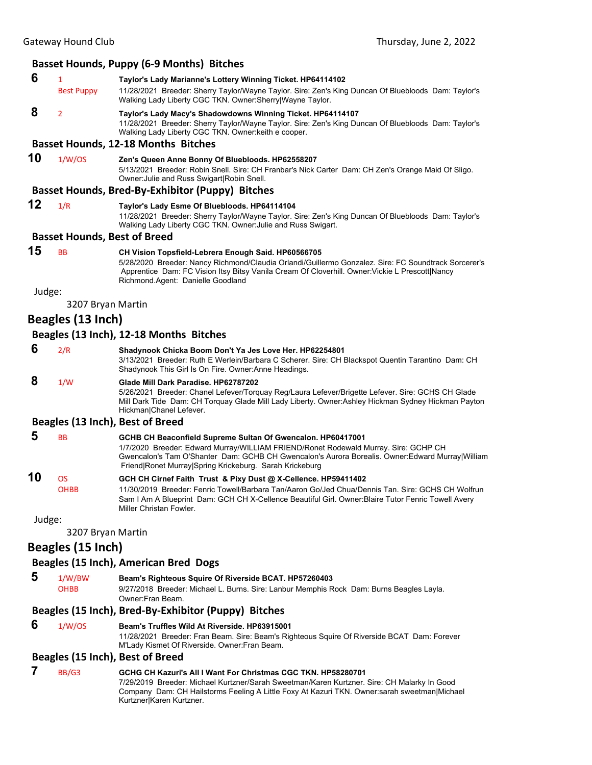### **Basset Hounds, Puppy (6‐9 Months) Bitches 6** <sup>1</sup> **Taylor's Lady Marianne's Lottery Winning Ticket. HP64114102** Best Puppy 11/28/2021 Breeder: Sherry Taylor/Wayne Taylor. Sire: Zen's King Duncan Of Bluebloods Dam: Taylor's Walking Lady Liberty CGC TKN. Owner:Sherry|Wayne Taylor.  **8** <sup>2</sup> **Taylor's Lady Macy's Shadowdowns Winning Ticket. HP64114107** 11/28/2021 Breeder: Sherry Taylor/Wayne Taylor. Sire: Zen's King Duncan Of Bluebloods Dam: Taylor's Walking Lady Liberty CGC TKN. Owner:keith e cooper. **Basset Hounds, 12‐18 Months Bitches 10** 1/W/OS **Zen's Queen Anne Bonny Of Bluebloods. HP62558207** 5/13/2021 Breeder: Robin Snell. Sire: CH Franbar's Nick Carter Dam: CH Zen's Orange Maid Of Sligo. Owner:Julie and Russ Swigart|Robin Snell. **Basset Hounds, Bred‐By‐Exhibitor (Puppy) Bitches 12** 1/R **Taylor's Lady Esme Of Bluebloods. HP64114104** 11/28/2021 Breeder: Sherry Taylor/Wayne Taylor. Sire: Zen's King Duncan Of Bluebloods Dam: Taylor's Walking Lady Liberty CGC TKN. Owner:Julie and Russ Swigart. **Basset Hounds, Best of Breed 15** BB **CH Vision Topsfield-Lebrera Enough Said. HP60566705** 5/28/2020 Breeder: Nancy Richmond/Claudia Orlandi/Guillermo Gonzalez. Sire: FC Soundtrack Sorcerer's Apprentice Dam: FC Vision Itsy Bitsy Vanila Cream Of Cloverhill. Owner:Vickie L Prescott|Nancy Richmond.Agent: Danielle Goodland Judge: 3207 Bryan Martin **Beagles (13 Inch) Beagles (13 Inch), 12‐18 Months Bitches 6** 2/R **Shadynook Chicka Boom Don't Ya Jes Love Her. HP62254801** 3/13/2021 Breeder: Ruth E Werlein/Barbara C Scherer. Sire: CH Blackspot Quentin Tarantino Dam: CH Shadynook This Girl Is On Fire. Owner:Anne Headings.  **8** 1/W **Glade Mill Dark Paradise. HP62787202** 5/26/2021 Breeder: Chanel Lefever/Torquay Reg/Laura Lefever/Brigette Lefever. Sire: GCHS CH Glade Mill Dark Tide Dam: CH Torquay Glade Mill Lady Liberty. Owner:Ashley Hickman Sydney Hickman Payton Hickman|Chanel Lefever. **Beagles (13 Inch), Best of Breed 5** BB **GCHB CH Beaconfield Supreme Sultan Of Gwencalon. HP60417001** 1/7/2020 Breeder: Edward Murray/WILLIAM FRIEND/Ronet Rodewald Murray. Sire: GCHP CH Gwencalon's Tam O'Shanter Dam: GCHB CH Gwencalon's Aurora Borealis. Owner:Edward Murray|William Friend|Ronet Murray|Spring Krickeburg. Sarah Krickeburg **10** OS **GCH CH Cirnef Faith Trust & Pixy Dust @ X-Cellence. HP59411402** OHBB 11/30/2019 Breeder: Fenric Towell/Barbara Tan/Aaron Go/Jed Chua/Dennis Tan. Sire: GCHS CH Wolfrun Sam I Am A Blueprint Dam: GCH CH X-Cellence Beautiful Girl. Owner:Blaire Tutor Fenric Towell Avery Miller Christan Fowler. Judge: 3207 Bryan Martin **Beagles (15 Inch) Beagles (15 Inch), American Bred Dogs 5** 1/W/BW **Beam's Righteous Squire Of Riverside BCAT. HP57260403** OHBB 9/27/2018 Breeder: Michael L. Burns. Sire: Lanbur Memphis Rock Dam: Burns Beagles Layla. Owner:Fran Beam. **Beagles (15 Inch), Bred‐By‐Exhibitor (Puppy) Bitches 6** 1/W/OS **Beam's Truffles Wild At Riverside. HP63915001** 11/28/2021 Breeder: Fran Beam. Sire: Beam's Righteous Squire Of Riverside BCAT Dam: Forever M'Lady Kismet Of Riverside. Owner:Fran Beam. **Beagles (15 Inch), Best of Breed 7** BB/G3 **GCHG CH Kazuri's All I Want For Christmas CGC TKN. HP58280701**

7/29/2019 Breeder: Michael Kurtzner/Sarah Sweetman/Karen Kurtzner. Sire: CH Malarky In Good Company Dam: CH Hailstorms Feeling A Little Foxy At Kazuri TKN. Owner:sarah sweetman|Michael Kurtzner|Karen Kurtzner.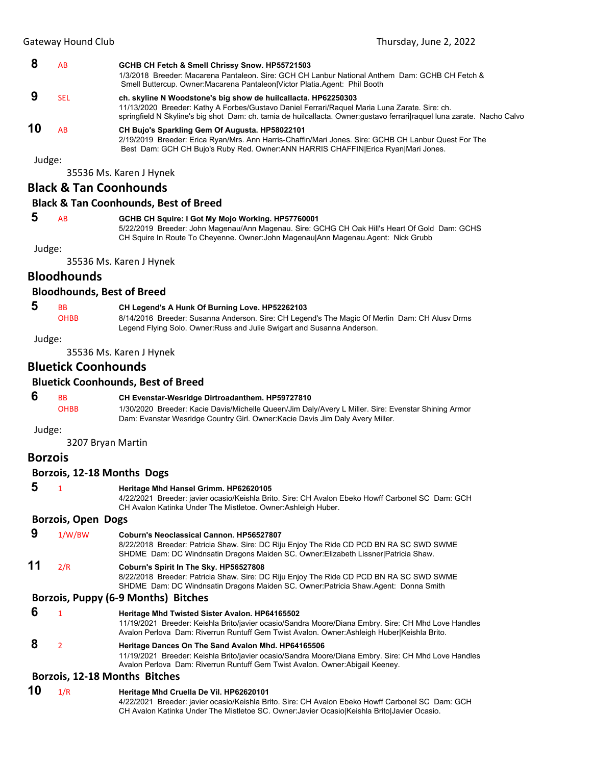|        | AB  | GCHB CH Fetch & Smell Chrissy Snow. HP55721503<br>1/3/2018 Breeder: Macarena Pantaleon, Sire: GCH CH Lanbur National Anthem Dam: GCHB CH Fetch &<br>Smell Buttercup. Owner: Macarena Pantaleon   Victor Platia. Agent: Phil Booth                                                          |
|--------|-----|--------------------------------------------------------------------------------------------------------------------------------------------------------------------------------------------------------------------------------------------------------------------------------------------|
|        | SEL | ch. skyline N Woodstone's big show de huilcallacta. HP62250303<br>11/13/2020 Breeder: Kathy A Forbes/Gustavo Daniel Ferrari/Raquel Maria Luna Zarate. Sire: ch.<br>springfield N Skyline's big shot Dam: ch. tamia de huilcallacta. Owner: gustavo ferrarilraguel luna zarate. Nacho Calvo |
| 10     | ΑR  | CH Bujo's Sparkling Gem Of Augusta. HP58022101<br>2/19/2019 Breeder: Erica Ryan/Mrs. Ann Harris-Chaffin/Mari Jones. Sire: GCHB CH Lanbur Quest For The<br>Best Dam: GCH CH Bujo's Ruby Red. Owner: ANN HARRIS CHAFFIN Erica Ryan Mari Jones.                                               |
| Judge: |     |                                                                                                                                                                                                                                                                                            |

35536 Ms. Karen J Hynek

### **Black & Tan Coonhounds**

#### **Black & Tan Coonhounds, Best of Breed**

# **5** AB **GCHB CH Squire: I Got My Mojo Working. HP57760001**

5/22/2019 Breeder: John Magenau/Ann Magenau. Sire: GCHG CH Oak Hill's Heart Of Gold Dam: GCHS CH Squire In Route To Cheyenne. Owner:John Magenau|Ann Magenau.Agent: Nick Grubb

Judge:

35536 Ms. Karen J Hynek

### **Bloodhounds**

#### **Bloodhounds, Best of Breed**

 **5** BB **CH Legend's A Hunk Of Burning Love. HP52262103**

OHBB 8/14/2016 Breeder: Susanna Anderson. Sire: CH Legend's The Magic Of Merlin Dam: CH Alusv Drms Legend Flying Solo. Owner:Russ and Julie Swigart and Susanna Anderson.

Judge:

35536 Ms. Karen J Hynek

### **Bluetick Coonhounds**

#### **Bluetick Coonhounds, Best of Breed**

 **6** BB **CH Evenstar-Wesridge Dirtroadanthem. HP59727810** OHBB 1/30/2020 Breeder: Kacie Davis/Michelle Queen/Jim Daly/Avery L Miller. Sire: Evenstar Shining Armor Dam: Evanstar Wesridge Country Girl. Owner:Kacie Davis Jim Daly Avery Miller.

Judge:

3207 Bryan Martin

#### **Borzois**

#### **Borzois, 12‐18 Months Dogs**

- 
- **5** <sup>1</sup> **Heritage Mhd Hansel Grimm. HP62620105**

4/22/2021 Breeder: javier ocasio/Keishla Brito. Sire: CH Avalon Ebeko Howff Carbonel SC Dam: GCH CH Avalon Katinka Under The Mistletoe. Owner:Ashleigh Huber.

#### **Borzois, Open Dogs**

 **9** 1/W/BW **Coburn's Neoclassical Cannon. HP56527807** 8/22/2018 Breeder: Patricia Shaw. Sire: DC Riju Enjoy The Ride CD PCD BN RA SC SWD SWME SHDME Dam: DC Windnsatin Dragons Maiden SC. Owner:Elizabeth Lissner|Patricia Shaw. **11** 2/R **Coburn's Spirit In The Sky. HP56527808** 8/22/2018 Breeder: Patricia Shaw. Sire: DC Riju Enjoy The Ride CD PCD BN RA SC SWD SWME SHDME Dam: DC Windnsatin Dragons Maiden SC. Owner:Patricia Shaw.Agent: Donna Smith **Borzois, Puppy (6‐9 Months) Bitches**

# **6** <sup>1</sup> **Heritage Mhd Twisted Sister Avalon. HP64165502**

11/19/2021 Breeder: Keishla Brito/javier ocasio/Sandra Moore/Diana Embry. Sire: CH Mhd Love Handles Avalon Perlova Dam: Riverrun Runtuff Gem Twist Avalon. Owner:Ashleigh Huber|Keishla Brito.  **8** <sup>2</sup> **Heritage Dances On The Sand Avalon Mhd. HP64165506** 11/19/2021 Breeder: Keishla Brito/javier ocasio/Sandra Moore/Diana Embry. Sire: CH Mhd Love Handles Avalon Perlova Dam: Riverrun Runtuff Gem Twist Avalon. Owner:Abigail Keeney.

#### **Borzois, 12‐18 Months Bitches**

**10** 1/R **Heritage Mhd Cruella De Vil. HP62620101** 4/22/2021 Breeder: javier ocasio/Keishla Brito. Sire: CH Avalon Ebeko Howff Carbonel SC Dam: GCH CH Avalon Katinka Under The Mistletoe SC. Owner:Javier Ocasio|Keishla Brito|Javier Ocasio.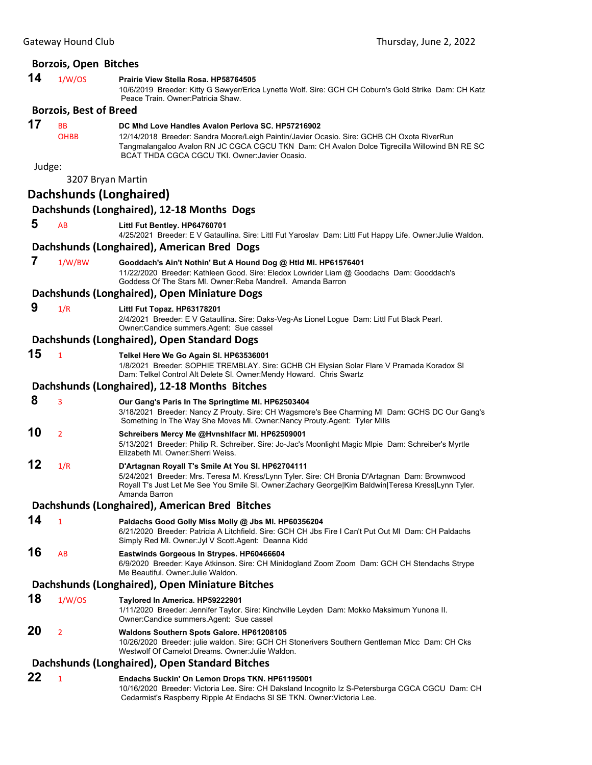### **Borzois, Open Bitches**

# **14** 1/W/OS **Prairie View Stella Rosa. HP58764505**

10/6/2019 Breeder: Kitty G Sawyer/Erica Lynette Wolf. Sire: GCH CH Coburn's Gold Strike Dam: CH Katz Peace Train. Owner: Patricia Shaw.

### **Borzois, Best of Breed**

# **17** BB **DC Mhd Love Handles Avalon Perlova SC. HP57216902**<br>OHBB 12/14/2018 Breeder: Sandra Moore/Leigh Paintin/Javier Oo

12/14/2018 Breeder: Sandra Moore/Leigh Paintin/Javier Ocasio. Sire: GCHB CH Oxota RiverRun Tangmalangaloo Avalon RN JC CGCA CGCU TKN Dam: CH Avalon Dolce Tigrecilla Willowind BN RE SC BCAT THDA CGCA CGCU TKI. Owner:Javier Ocasio.

Judge:

3207 Bryan Martin

|    | 3207 Bryan Martin |                                                                                                                                                                                                                                                                           |
|----|-------------------|---------------------------------------------------------------------------------------------------------------------------------------------------------------------------------------------------------------------------------------------------------------------------|
|    |                   | <b>Dachshunds (Longhaired)</b>                                                                                                                                                                                                                                            |
|    |                   | Dachshunds (Longhaired), 12-18 Months Dogs                                                                                                                                                                                                                                |
| 5  | AB                | Littl Fut Bentley. HP64760701<br>4/25/2021 Breeder: E V Gataullina. Sire: Littl Fut Yaroslav Dam: Littl Fut Happy Life. Owner: Julie Waldon.                                                                                                                              |
|    |                   | Dachshunds (Longhaired), American Bred Dogs                                                                                                                                                                                                                               |
| 7  | 1/W/BW            | Gooddach's Ain't Nothin' But A Hound Dog @ Htld Ml. HP61576401<br>11/22/2020 Breeder: Kathleen Good. Sire: Eledox Lowrider Liam @ Goodachs Dam: Gooddach's<br>Goddess Of The Stars MI, Owner: Reba Mandrell, Amanda Barron                                                |
|    |                   | Dachshunds (Longhaired), Open Miniature Dogs                                                                                                                                                                                                                              |
| 9  | 1/R               | Littl Fut Topaz. HP63178201<br>2/4/2021 Breeder: E V Gataullina. Sire: Daks-Veg-As Lionel Logue Dam: Littl Fut Black Pearl.<br>Owner:Candice summers.Agent: Sue cassel                                                                                                    |
|    |                   | Dachshunds (Longhaired), Open Standard Dogs                                                                                                                                                                                                                               |
| 15 | $\mathbf{1}$      | Telkel Here We Go Again SI. HP63536001<br>1/8/2021 Breeder: SOPHIE TREMBLAY. Sire: GCHB CH Elysian Solar Flare V Pramada Koradox SI<br>Dam: Telkel Control Alt Delete SI. Owner: Mendy Howard. Chris Swartz                                                               |
|    |                   | Dachshunds (Longhaired), 12-18 Months Bitches                                                                                                                                                                                                                             |
| 8  | 3                 | Our Gang's Paris In The Springtime MI. HP62503404<br>3/18/2021 Breeder: Nancy Z Prouty. Sire: CH Wagsmore's Bee Charming MI Dam: GCHS DC Our Gang's<br>Something In The Way She Moves MI. Owner: Nancy Prouty. Agent: Tyler Mills                                         |
| 10 | $\overline{2}$    | Schreibers Mercy Me @Hvnshlfacr Ml. HP62509001<br>5/13/2021 Breeder: Philip R. Schreiber. Sire: Jo-Jac's Moonlight Magic Mlpie Dam: Schreiber's Myrtle<br>Elizabeth MI, Owner: Sherri Weiss,                                                                              |
| 12 | 1/R               | D'Artagnan Royall T's Smile At You SI. HP62704111<br>5/24/2021 Breeder: Mrs. Teresa M. Kress/Lynn Tyler. Sire: CH Bronia D'Artagnan Dam: Brownwood<br>Royall T's Just Let Me See You Smile SI. Owner:Zachary George Kim Baldwin Teresa Kress Lynn Tyler.<br>Amanda Barron |
|    |                   | Dachshunds (Longhaired), American Bred Bitches                                                                                                                                                                                                                            |
| 14 | $\mathbf{1}$      | Paldachs Good Golly Miss Molly @ Jbs MI. HP60356204<br>6/21/2020 Breeder: Patricia A Litchfield. Sire: GCH CH Jbs Fire I Can't Put Out MI Dam: CH Paldachs<br>Simply Red MI. Owner: Jyl V Scott. Agent: Deanna Kidd                                                       |
| 16 | AB                | Eastwinds Gorgeous In Strypes. HP60466604<br>6/9/2020 Breeder: Kaye Atkinson. Sire: CH Minidogland Zoom Zoom Dam: GCH CH Stendachs Strype<br>Me Beautiful. Owner: Julie Waldon.                                                                                           |
|    |                   | Dachshunds (Longhaired), Open Miniature Bitches                                                                                                                                                                                                                           |
| 18 | 1/W/OS            | Taylored In America. HP59222901<br>1/11/2020 Breeder: Jennifer Taylor. Sire: Kinchville Leyden Dam: Mokko Maksimum Yunona II.<br>Owner:Candice summers.Agent: Sue cassel                                                                                                  |
| 20 | $\overline{2}$    | <b>Waldons Southern Spots Galore. HP61208105</b><br>10/26/2020 Breeder: julie waldon. Sire: GCH CH Stonerivers Southern Gentleman MIcc Dam: CH Cks<br>Westwolf Of Camelot Dreams. Owner: Julie Waldon.                                                                    |
|    |                   | Dachshunds (Longhaired), Open Standard Bitches                                                                                                                                                                                                                            |
| 22 | $\mathbf{1}$      | Endachs Suckin' On Lemon Drops TKN. HP61195001<br>10/16/2020 Breeder: Victoria Lee. Sire: CH Daksland Incognito Iz S-Petersburga CGCA CGCU Dam: CH                                                                                                                        |

Cedarmist's Raspberry Ripple At Endachs Sl SE TKN. Owner:Victoria Lee.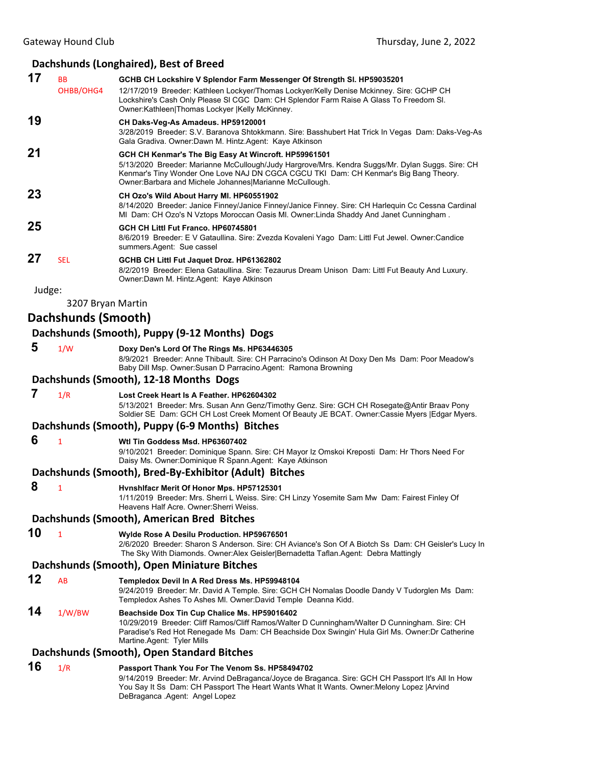# **Dachshunds (Longhaired), Best of Breed**

| 17     | <b>BB</b><br>OHBB/OHG4 | GCHB CH Lockshire V Splendor Farm Messenger Of Strength SI. HP59035201<br>12/17/2019 Breeder: Kathleen Lockyer/Thomas Lockyer/Kelly Denise Mckinney. Sire: GCHP CH<br>Lockshire's Cash Only Please SI CGC Dam: CH Splendor Farm Raise A Glass To Freedom SI.<br>Owner:Kathleen Thomas Lockyer  Kelly McKinney. |
|--------|------------------------|----------------------------------------------------------------------------------------------------------------------------------------------------------------------------------------------------------------------------------------------------------------------------------------------------------------|
| 19     |                        | CH Daks-Veg-As Amadeus. HP59120001<br>3/28/2019 Breeder: S.V. Baranova Shtokkmann. Sire: Basshubert Hat Trick In Vegas Dam: Daks-Veg-As<br>Gala Gradiva. Owner:Dawn M. Hintz.Agent: Kaye Atkinson                                                                                                              |
| 21     |                        | GCH CH Kenmar's The Big Easy At Wincroft. HP59961501<br>5/13/2020 Breeder: Marianne McCullough/Judy Hargrove/Mrs. Kendra Suggs/Mr. Dylan Suggs. Sire: CH<br>Kenmar's Tiny Wonder One Love NAJ DN CGCA CGCU TKI Dam: CH Kenmar's Big Bang Theory.<br>Owner: Barbara and Michele Johannes Marianne McCullough.   |
| 23     |                        | CH Ozo's Wild About Harry MI. HP60551902<br>8/14/2020 Breeder: Janice Finney/Janice Finney/Janice Finney. Sire: CH Harlequin Cc Cessna Cardinal<br>MI Dam: CH Ozo's N Vztops Moroccan Oasis MI. Owner:Linda Shaddy And Janet Cunningham.                                                                       |
| 25     |                        | GCH CH Littl Fut Franco, HP60745801<br>8/6/2019 Breeder: E V Gataullina. Sire: Zvezda Kovaleni Yago Dam: Littl Fut Jewel. Owner:Candice<br>summers.Agent: Sue cassel                                                                                                                                           |
| 27     | <b>SEL</b>             | GCHB CH Littl Fut Jaquet Droz. HP61362802<br>8/2/2019 Breeder: Elena Gataullina. Sire: Tezaurus Dream Unison Dam: Littl Fut Beauty And Luxury.<br>Owner:Dawn M. Hintz.Agent: Kaye Atkinson                                                                                                                     |
| Judge: |                        |                                                                                                                                                                                                                                                                                                                |
|        | 3207 Bryan Martin      |                                                                                                                                                                                                                                                                                                                |
|        | Dachshunds (Smooth)    |                                                                                                                                                                                                                                                                                                                |
|        |                        | Dachshunds (Smooth), Puppy (9-12 Months) Dogs                                                                                                                                                                                                                                                                  |
| 5      | 1/W                    | Doxy Den's Lord Of The Rings Ms. HP63446305<br>8/9/2021 Breeder: Anne Thibault. Sire: CH Parracino's Odinson At Doxy Den Ms Dam: Poor Meadow's<br>Baby Dill Msp. Owner: Susan D Parracino. Agent: Ramona Browning                                                                                              |
|        |                        | Dachshunds (Smooth), 12-18 Months Dogs                                                                                                                                                                                                                                                                         |
| 7      | 1/R                    | Lost Creek Heart Is A Feather, HP62604302<br>5/13/2021 Breeder: Mrs. Susan Ann Genz/Timothy Genz. Sire: GCH CH Rosegate@Antir Braav Pony<br>Soldier SE Dam: GCH CH Lost Creek Moment Of Beauty JE BCAT. Owner:Cassie Myers   Edgar Myers.                                                                      |
|        |                        | Dachshunds (Smooth), Puppy (6-9 Months) Bitches                                                                                                                                                                                                                                                                |
| 6      | 1                      | Wtl Tin Goddess Msd. HP63607402<br>9/10/2021 Breeder: Dominique Spann. Sire: CH Mayor Iz Omskoi Kreposti Dam: Hr Thors Need For<br>Daisy Ms. Owner: Dominique R Spann. Agent: Kaye Atkinson                                                                                                                    |
|        |                        | Dachshunds (Smooth), Bred-By-Exhibitor (Adult) Bitches                                                                                                                                                                                                                                                         |
| 8      | 1                      | Hvnshlfacr Merit Of Honor Mps. HP57125301<br>1/11/2019 Breeder: Mrs. Sherri L Weiss. Sire: CH Linzy Yosemite Sam Mw Dam: Fairest Finley Of<br>Heavens Half Acre, Owner: Sherri Weiss,                                                                                                                          |
|        |                        | Dachshunds (Smooth), American Bred Bitches                                                                                                                                                                                                                                                                     |
| 10     | $\mathbf{1}$           | Wylde Rose A Desilu Production. HP59676501<br>2/6/2020 Breeder: Sharon S Anderson. Sire: CH Aviance's Son Of A Biotch Ss Dam: CH Geisler's Lucy In<br>The Sky With Diamonds. Owner: Alex Geisler Bernadetta Taflan. Agent: Debra Mattingly                                                                     |
|        |                        | Dachshunds (Smooth), Open Miniature Bitches                                                                                                                                                                                                                                                                    |
| 12     | AB                     | Templedox Devil In A Red Dress Ms. HP59948104<br>9/24/2019 Breeder: Mr. David A Temple. Sire: GCH CH Nomalas Doodle Dandy V Tudorglen Ms Dam:<br>Templedox Ashes To Ashes Ml. Owner:David Temple  Deanna Kidd.                                                                                                 |
| 14     | 1/W/BW                 | Beachside Dox Tin Cup Chalice Ms. HP59016402<br>10/29/2019 Breeder: Cliff Ramos/Cliff Ramos/Walter D Cunningham/Walter D Cunningham. Sire: CH<br>Paradise's Red Hot Renegade Ms Dam: CH Beachside Dox Swingin' Hula Girl Ms. Owner: Dr Catherine<br>Martine Agent: Tyler Mills                                 |
|        |                        | Dachshunds (Smooth), Open Standard Bitches                                                                                                                                                                                                                                                                     |
| 16     | 1/R                    | Passport Thank You For The Venom Ss. HP58494702<br>9/14/2019 Breeder: Mr. Arvind DeBraganca/Jovce de Braganca, Sire: GCH CH Passnort It's All In How                                                                                                                                                           |

9/14/2019 Breeder: Mr. Arvind DeBraganca/Joyce de Braganca. Sire: GCH CH Passport It's All In How You Say It Ss Dam: CH Passport The Heart Wants What It Wants. Owner:Melony Lopez |Arvind DeBraganca .Agent: Angel Lopez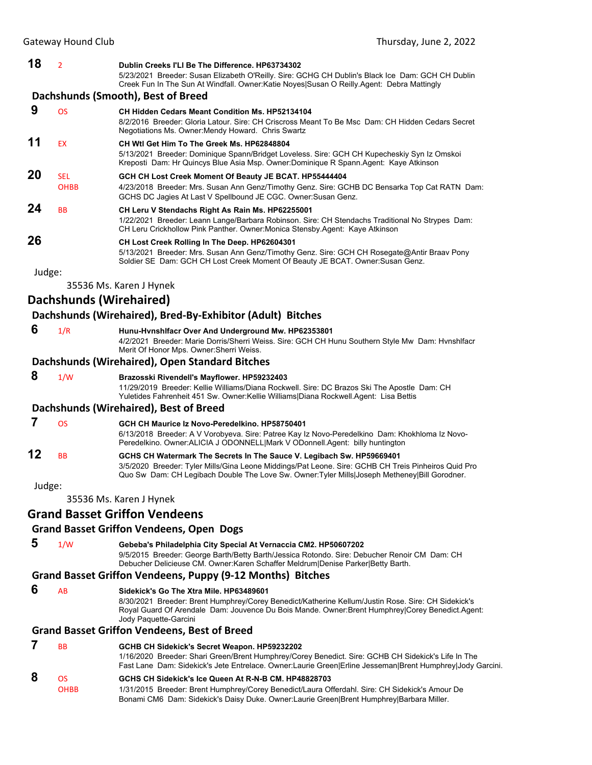Gateway Hound Club **Club <b>Club Club Club Thursday, June 2, 2022 18** <sup>2</sup> **Dublin Creeks I'Ll Be The Difference. HP63734302** 5/23/2021 Breeder: Susan Elizabeth O'Reilly. Sire: GCHG CH Dublin's Black Ice Dam: GCH CH Dublin Creek Fun In The Sun At Windfall. Owner:Katie Noyes|Susan O Reilly.Agent: Debra Mattingly **Dachshunds (Smooth), Best of Breed 9** OS **CH Hidden Cedars Meant Condition Ms. HP52134104** 8/2/2016 Breeder: Gloria Latour. Sire: CH Criscross Meant To Be Msc Dam: CH Hidden Cedars Secret Negotiations Ms. Owner:Mendy Howard. Chris Swartz **11** EX **CH Wtl Get Him To The Greek Ms. HP62848804** 5/13/2021 Breeder: Dominique Spann/Bridget Loveless. Sire: GCH CH Kupecheskiy Syn Iz Omskoi Kreposti Dam: Hr Quincys Blue Asia Msp. Owner:Dominique R Spann.Agent: Kaye Atkinson **20** SEL **GCH CH Lost Creek Moment Of Beauty JE BCAT. HP55444404** OHBB 4/23/2018 Breeder: Mrs. Susan Ann Genz/Timothy Genz. Sire: GCHB DC Bensarka Top Cat RATN Dam: GCHS DC Jagies At Last V Spellbound JE CGC. Owner:Susan Genz. **24** BB **CH Leru V Stendachs Right As Rain Ms. HP62255001** 1/22/2021 Breeder: Leann Lange/Barbara Robinson. Sire: CH Stendachs Traditional No Strypes Dam: CH Leru Crickhollow Pink Panther. Owner:Monica Stensby.Agent: Kaye Atkinson **26 CH Lost Creek Rolling In The Deep. HP62604301** 5/13/2021 Breeder: Mrs. Susan Ann Genz/Timothy Genz. Sire: GCH CH Rosegate@Antir Braav Pony Soldier SE Dam: GCH CH Lost Creek Moment Of Beauty JE BCAT. Owner:Susan Genz. Judge: 35536 Ms. Karen J Hynek **Dachshunds (Wirehaired) Dachshunds (Wirehaired), Bred‐By‐Exhibitor (Adult) Bitches 6** 1/R **Hunu-Hvnshlfacr Over And Underground Mw. HP62353801** 4/2/2021 Breeder: Marie Dorris/Sherri Weiss. Sire: GCH CH Hunu Southern Style Mw Dam: Hvnshlfacr Merit Of Honor Mps. Owner:Sherri Weiss. **Dachshunds (Wirehaired), Open Standard Bitches 8** 1/W **Brazosski Rivendell's Mayflower. HP59232403**

Yuletides Fahrenheit 451 Sw. Owner:Kellie Williams|Diana Rockwell.Agent: Lisa Bettis **Dachshunds (Wirehaired), Best of Breed**

 **7** OS **GCH CH Maurice Iz Novo-Peredelkino. HP58750401** 6/13/2018 Breeder: A V Vorobyeva. Sire: Patree Kay Iz Novo-Peredelkino Dam: Khokhloma Iz Novo-Peredelkino. Owner:ALICIA J ODONNELL|Mark V ODonnell.Agent: billy huntington **12** BB **GCHS CH Watermark The Secrets In The Sauce V. Legibach Sw. HP59669401** 3/5/2020 Breeder: Tyler Mills/Gina Leone Middings/Pat Leone. Sire: GCHB CH Treis Pinheiros Quid Pro Quo Sw Dam: CH Legibach Double The Love Sw. Owner:Tyler Mills|Joseph Metheney|Bill Gorodner.

11/29/2019 Breeder: Kellie Williams/Diana Rockwell. Sire: DC Brazos Ski The Apostle Dam: CH

Judge:

35536 Ms. Karen J Hynek

# **Grand Basset Griffon Vendeens**

# **Grand Basset Griffon Vendeens, Open Dogs**

 **5** 1/W **Gebeba's Philadelphia City Special At Vernaccia CM2. HP50607202** 9/5/2015 Breeder: George Barth/Betty Barth/Jessica Rotondo. Sire: Debucher Renoir CM Dam: CH Debucher Delicieuse CM. Owner:Karen Schaffer Meldrum|Denise Parker|Betty Barth.

# **Grand Basset Griffon Vendeens, Puppy (9‐12 Months) Bitches**

 **6** AB **Sidekick's Go The Xtra Mile. HP63489601**

8/30/2021 Breeder: Brent Humphrey/Corey Benedict/Katherine Kellum/Justin Rose. Sire: CH Sidekick's Royal Guard Of Arendale Dam: Jouvence Du Bois Mande. Owner:Brent Humphrey|Corey Benedict.Agent: Jody Paquette-Garcini

# **Grand Basset Griffon Vendeens, Best of Breed**

 **7** BB **GCHB CH Sidekick's Secret Weapon. HP59232202** 1/16/2020 Breeder: Shari Green/Brent Humphrey/Corey Benedict. Sire: GCHB CH Sidekick's Life In The Fast Lane Dam: Sidekick's Jete Entrelace. Owner:Laurie Green|Erline Jesseman|Brent Humphrey|Jody Garcini.

# **8** OS **GCHS CH Sidekick's Ice Queen At R-N-B CM. HP48828703**

OHBB 1/31/2015 Breeder: Brent Humphrey/Corey Benedict/Laura Offerdahl. Sire: CH Sidekick's Amour De Bonami CM6 Dam: Sidekick's Daisy Duke. Owner:Laurie Green|Brent Humphrey|Barbara Miller.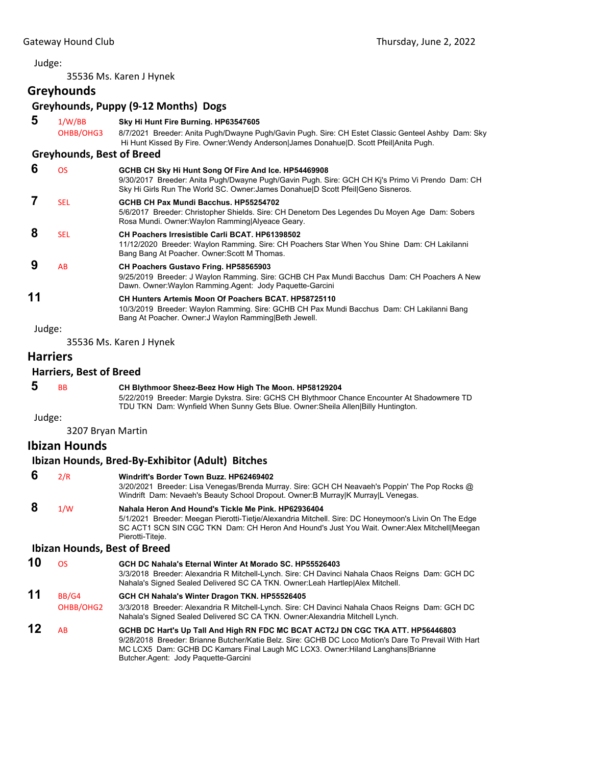#### Judge:

35536 Ms. Karen J Hynek

# **Greyhounds**

# **Greyhounds, Puppy (9‐12 Months) Dogs**

| 5      | 1/W/BB                           | Sky Hi Hunt Fire Burning. HP63547605                                                                                                                                                                                                        |
|--------|----------------------------------|---------------------------------------------------------------------------------------------------------------------------------------------------------------------------------------------------------------------------------------------|
|        | OHBB/OHG3                        | 8/7/2021 Breeder: Anita Pugh/Dwayne Pugh/Gavin Pugh. Sire: CH Estet Classic Genteel Ashby Dam: Sky<br>Hi Hunt Kissed By Fire. Owner: Wendy Anderson James Donahue D. Scott Pfeil Anita Pugh.                                                |
|        | <b>Greyhounds, Best of Breed</b> |                                                                                                                                                                                                                                             |
| 6      | <b>OS</b>                        | GCHB CH Sky Hi Hunt Song Of Fire And Ice. HP54469908<br>9/30/2017 Breeder: Anita Pugh/Dwayne Pugh/Gavin Pugh. Sire: GCH CH Ki's Primo Vi Prendo Dam: CH<br>Sky Hi Girls Run The World SC. Owner: James Donahue D Scott Pfeil Geno Sisneros. |
| 7      | <b>SEL</b>                       | GCHB CH Pax Mundi Bacchus, HP55254702<br>5/6/2017 Breeder: Christopher Shields. Sire: CH Denetorn Des Legendes Du Moyen Age Dam: Sobers<br>Rosa Mundi. Owner: Waylon Ramming Alyeace Geary.                                                 |
| 8      | <b>SEL</b>                       | <b>CH Poachers Irresistible Carli BCAT. HP61398502</b><br>11/12/2020 Breeder: Waylon Ramming. Sire: CH Poachers Star When You Shine Dam: CH Lakilanni<br>Bang Bang At Poacher. Owner: Scott M Thomas.                                       |
| 9      | AB                               | <b>CH Poachers Gustavo Fring. HP58565903</b><br>9/25/2019 Breeder: J Waylon Ramming. Sire: GCHB CH Pax Mundi Bacchus Dam: CH Poachers A New<br>Dawn. Owner: Waylon Ramming. Agent: Jody Paquette-Garcini                                    |
| 11     |                                  | CH Hunters Artemis Moon Of Poachers BCAT, HP58725110<br>10/3/2019 Breeder: Waylon Ramming. Sire: GCHB CH Pax Mundi Bacchus Dam: CH Lakilanni Bang<br>Bang At Poacher. Owner: J Waylon Ramming Beth Jewell.                                  |
| Judge: |                                  |                                                                                                                                                                                                                                             |
|        |                                  | 35536 Ms. Karen J Hynek                                                                                                                                                                                                                     |
|        | <b>Harriers</b>                  |                                                                                                                                                                                                                                             |
|        | <b>Harriers, Best of Breed</b>   |                                                                                                                                                                                                                                             |
| 5      | <b>BB</b>                        | CH Blythmoor Sheez-Beez How High The Moon. HP58129204<br>5/22/2019 Breeder: Margie Dykstra. Sire: GCHS CH Blythmoor Chance Encounter At Shadowmere TD<br>TDU TKN Dam: Wynfield When Sunny Gets Blue. Owner: Sheila Allen Billy Huntington.  |

Judge:

3207 Bryan Martin

## **Ibizan Hounds**

#### **Ibizan Hounds, Bred‐By‐Exhibitor (Adult) Bitches**

### **6** 2/R **Windrift's Border Town Buzz. HP62469402**

3/20/2021 Breeder: Lisa Venegas/Brenda Murray. Sire: GCH CH Neavaeh's Poppin' The Pop Rocks @ Windrift Dam: Nevaeh's Beauty School Dropout. Owner:B Murray|K Murray|L Venegas.

#### **8** 1/W **Nahala Heron And Hound's Tickle Me Pink. HP62936404** 5/1/2021 Breeder: Meegan Pierotti-Tietje/Alexandria Mitchell. Sire: DC Honeymoon's Livin On The Edge SC ACT1 SCN SIN CGC TKN Dam: CH Heron And Hound's Just You Wait. Owner:Alex Mitchell|Meegan Pierotti-Titeje.

#### **Ibizan Hounds, Best of Breed**

| 10 | OS.         | GCH DC Nahala's Eternal Winter At Morado SC, HP55526403                                              |
|----|-------------|------------------------------------------------------------------------------------------------------|
|    |             | 3/3/2018 Breeder: Alexandria R Mitchell-Lynch. Sire: CH Davinci Nahala Chaos Reigns Dam: GCH DC      |
|    |             | Nahala's Signed Sealed Delivered SC CA TKN. Owner: Leah Hartlep Alex Mitchell.                       |
| 11 | BB/G4       | GCH CH Nahala's Winter Dragon TKN. HP55526405                                                        |
|    | Q(100/0102) | 000000 Description Alexandria D. Mitchell Lunch, Oine, Oll Devised Natale Ohean Deigna, Deux, OOLLDO |

OHBB/OHG2 3/3/2018 Breeder: Alexandria R Mitchell-Lynch. Sire: CH Davinci Nahala Chaos Reigns Dam: GCH DC Nahala's Signed Sealed Delivered SC CA TKN. Owner:Alexandria Mitchell Lynch.

#### **12** AB **GCHB DC Hart's Up Tall And High RN FDC MC BCAT ACT2J DN CGC TKA ATT. HP56446803** 9/28/2018 Breeder: Brianne Butcher/Katie Belz. Sire: GCHB DC Loco Motion's Dare To Prevail With Hart MC LCX5 Dam: GCHB DC Kamars Final Laugh MC LCX3. Owner:Hiland Langhans|Brianne Butcher.Agent: Jody Paquette-Garcini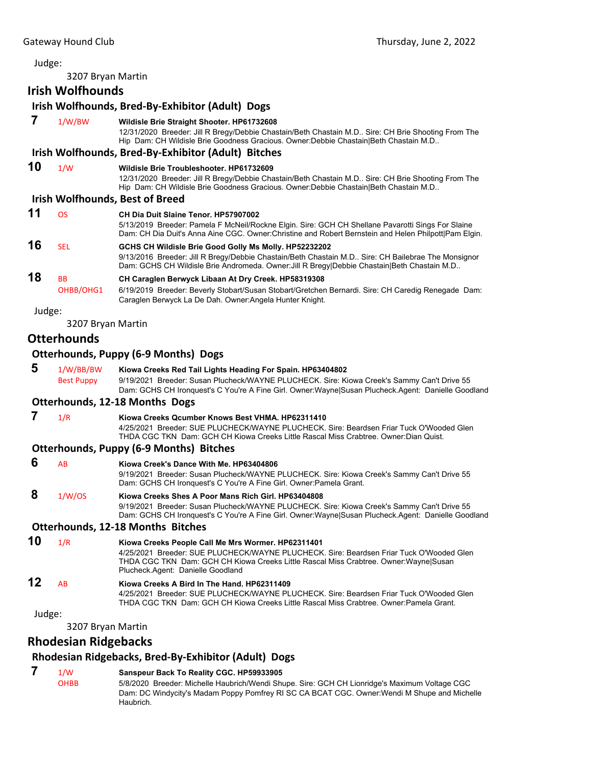#### Judge:

3207 Bryan Martin

|        | 3207 Bryan Martin              |                                                                                                                                                                                                                                                                            |
|--------|--------------------------------|----------------------------------------------------------------------------------------------------------------------------------------------------------------------------------------------------------------------------------------------------------------------------|
|        | <b>Irish Wolfhounds</b>        |                                                                                                                                                                                                                                                                            |
|        |                                | Irish Wolfhounds, Bred-By-Exhibitor (Adult) Dogs                                                                                                                                                                                                                           |
| 7      | 1/W/BW                         | Wildisle Brie Straight Shooter. HP61732608<br>12/31/2020 Breeder: Jill R Bregy/Debbie Chastain/Beth Chastain M.D Sire: CH Brie Shooting From The<br>Hip Dam: CH Wildisle Brie Goodness Gracious. Owner:Debbie Chastain Beth Chastain M.D                                   |
|        |                                | Irish Wolfhounds, Bred-By-Exhibitor (Adult) Bitches                                                                                                                                                                                                                        |
| 10     | 1/W                            | Wildisle Brie Troubleshooter, HP61732609<br>12/31/2020 Breeder: Jill R Bregy/Debbie Chastain/Beth Chastain M.D Sire: CH Brie Shooting From The<br>Hip Dam: CH Wildisle Brie Goodness Gracious. Owner:Debbie Chastain Beth Chastain M.D                                     |
|        |                                | <b>Irish Wolfhounds, Best of Breed</b>                                                                                                                                                                                                                                     |
| 11     | <b>OS</b>                      | CH Dia Duit Slaine Tenor, HP57907002<br>5/13/2019 Breeder: Pamela F McNeil/Rockne Elgin. Sire: GCH CH Shellane Pavarotti Sings For Slaine<br>Dam: CH Dia Duit's Anna Aine CGC. Owner: Christine and Robert Bernstein and Helen Philpott   Pam Elgin.                       |
| 16     | <b>SEL</b>                     | GCHS CH Wildisle Brie Good Golly Ms Molly. HP52232202<br>9/13/2016 Breeder: Jill R Bregy/Debbie Chastain/Beth Chastain M.D Sire: CH Bailebrae The Monsignor<br>Dam: GCHS CH Wildisle Brie Andromeda. Owner: Jill R Bregy Debbie Chastain   Beth Chastain M.D               |
| 18     | BB<br>OHBB/OHG1                | CH Caraglen Berwyck Libaan At Dry Creek. HP58319308<br>6/19/2019 Breeder: Beverly Stobart/Susan Stobart/Gretchen Bernardi. Sire: CH Caredig Renegade Dam:<br>Caraglen Berwyck La De Dah. Owner: Angela Hunter Knight.                                                      |
| Judge: |                                |                                                                                                                                                                                                                                                                            |
|        | 3207 Bryan Martin              |                                                                                                                                                                                                                                                                            |
|        | <b>Otterhounds</b>             |                                                                                                                                                                                                                                                                            |
|        |                                | <b>Otterhounds, Puppy (6-9 Months) Dogs</b>                                                                                                                                                                                                                                |
| 5      | 1/W/BB/BW<br><b>Best Puppy</b> | Kiowa Creeks Red Tail Lights Heading For Spain. HP63404802<br>9/19/2021 Breeder: Susan Plucheck/WAYNE PLUCHECK. Sire: Kiowa Creek's Sammy Can't Drive 55<br>Dam: GCHS CH Ironquest's C You're A Fine Girl. Owner: Wayne Susan Plucheck. Agent: Danielle Goodland           |
|        |                                | <b>Otterhounds, 12-18 Months Dogs</b>                                                                                                                                                                                                                                      |
| 7      | 1/R                            | Kiowa Creeks Qcumber Knows Best VHMA. HP62311410<br>4/25/2021 Breeder: SUE PLUCHECK/WAYNE PLUCHECK, Sire: Beardsen Friar Tuck O'Wooded Glen<br>THDA CGC TKN Dam: GCH CH Kiowa Creeks Little Rascal Miss Crabtree. Owner: Dian Quist.                                       |
|        |                                | <b>Otterhounds, Puppy (6-9 Months) Bitches</b>                                                                                                                                                                                                                             |
| 6      | AB                             | Kiowa Creek's Dance With Me. HP63404806<br>9/19/2021 Breeder: Susan Plucheck/WAYNE PLUCHECK. Sire: Kiowa Creek's Sammy Can't Drive 55<br>Dam: GCHS CH Ironquest's C You're A Fine Girl. Owner: Pamela Grant.                                                               |
| 8      | 1/W/OS                         | Kiowa Creeks Shes A Poor Mans Rich Girl. HP63404808<br>9/19/2021 Breeder: Susan Plucheck/WAYNE PLUCHECK. Sire: Kiowa Creek's Sammy Can't Drive 55<br>Dam: GCHS CH Ironquest's C You're A Fine Girl. Owner: Wayne Susan Plucheck. Agent: Danielle Goodland                  |
|        |                                | Otterhounds, 12-18 Months Bitches                                                                                                                                                                                                                                          |
| 10     | 1/R                            | Kiowa Creeks People Call Me Mrs Wormer. HP62311401<br>4/25/2021 Breeder: SUE PLUCHECK/WAYNE PLUCHECK, Sire: Beardsen Friar Tuck O'Wooded Glen<br>THDA CGC TKN Dam: GCH CH Kiowa Creeks Little Rascal Miss Crabtree. Owner:Wayne Susan<br>Plucheck.Agent: Danielle Goodland |
| 12     | AB                             | Kiowa Creeks A Bird In The Hand. HP62311409<br>4/25/2021 Breeder: SUE PLUCHECK/WAYNE PLUCHECK. Sire: Beardsen Friar Tuck O'Wooded Glen<br>THDA CGC TKN Dam: GCH CH Kiowa Creeks Little Rascal Miss Crabtree, Owner:Pamela Grant,                                           |
| Judge: |                                |                                                                                                                                                                                                                                                                            |
|        | 3207 Bryan Martin              |                                                                                                                                                                                                                                                                            |
|        |                                |                                                                                                                                                                                                                                                                            |

# **Rhodesian Ridgebacks**

# **Rhodesian Ridgebacks, Bred‐By‐Exhibitor (Adult) Dogs**

# **7** 1/W **Sanspeur Back To Reality CGC. HP59933905**

OHBB 5/8/2020 Breeder: Michelle Haubrich/Wendi Shupe. Sire: GCH CH Lionridge's Maximum Voltage CGC Dam: DC Windycity's Madam Poppy Pomfrey RI SC CA BCAT CGC. Owner:Wendi M Shupe and Michelle Haubrich.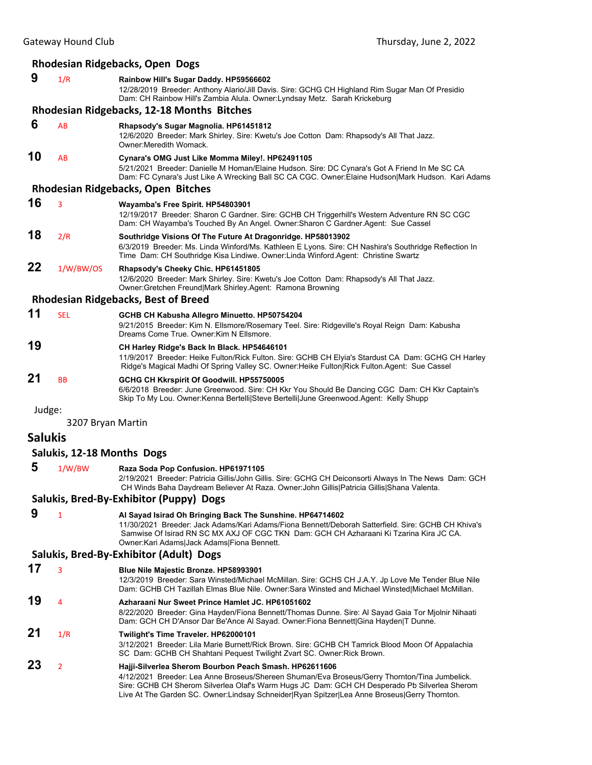# **Rhodesian Ridgebacks, Open Dogs**

| 9       | 1/R                        | Rainbow Hill's Sugar Daddy. HP59566602<br>12/28/2019 Breeder: Anthony Alario/Jill Davis. Sire: GCHG CH Highland Rim Sugar Man Of Presidio<br>Dam: CH Rainbow Hill's Zambia Alula. Owner: Lyndsay Metz. Sarah Krickeburg                                                                                  |
|---------|----------------------------|----------------------------------------------------------------------------------------------------------------------------------------------------------------------------------------------------------------------------------------------------------------------------------------------------------|
|         |                            | Rhodesian Ridgebacks, 12-18 Months Bitches                                                                                                                                                                                                                                                               |
| 6       | AB                         | Rhapsody's Sugar Magnolia. HP61451812<br>12/6/2020 Breeder: Mark Shirley. Sire: Kwetu's Joe Cotton Dam: Rhapsody's All That Jazz.<br>Owner: Meredith Womack.                                                                                                                                             |
| 10      | AB                         | Cynara's OMG Just Like Momma Miley!. HP62491105<br>5/21/2021 Breeder: Danielle M Homan/Elaine Hudson. Sire: DC Cynara's Got A Friend In Me SC CA<br>Dam: FC Cynara's Just Like A Wrecking Ball SC CA CGC. Owner:Elaine Hudson Mark Hudson. Kari Adams                                                    |
|         |                            | <b>Rhodesian Ridgebacks, Open Bitches</b>                                                                                                                                                                                                                                                                |
| 16      | 3                          | Wayamba's Free Spirit. HP54803901<br>12/19/2017 Breeder: Sharon C Gardner. Sire: GCHB CH Triggerhill's Western Adventure RN SC CGC<br>Dam: CH Wayamba's Touched By An Angel. Owner: Sharon C Gardner Agent: Sue Cassel                                                                                   |
| 18      | 2/R                        | Southridge Visions Of The Future At Dragonridge. HP58013902<br>6/3/2019 Breeder: Ms. Linda Winford/Ms. Kathleen E Lyons. Sire: CH Nashira's Southridge Reflection In<br>Time Dam: CH Southridge Kisa Lindiwe. Owner: Linda Winford. Agent: Christine Swartz                                              |
| 22      | 1/W/BW/OS                  | Rhapsody's Cheeky Chic. HP61451805<br>12/6/2020 Breeder: Mark Shirley. Sire: Kwetu's Joe Cotton Dam: Rhapsody's All That Jazz.<br>Owner: Gretchen Freund Mark Shirley.Agent: Ramona Browning                                                                                                             |
|         |                            | <b>Rhodesian Ridgebacks, Best of Breed</b>                                                                                                                                                                                                                                                               |
| 11      | <b>SEL</b>                 | GCHB CH Kabusha Allegro Minuetto. HP50754204<br>9/21/2015 Breeder: Kim N. Ellsmore/Rosemary Teel. Sire: Ridgeville's Royal Reign Dam: Kabusha<br>Dreams Come True. Owner: Kim N Ellsmore.                                                                                                                |
| 19      |                            | CH Harley Ridge's Back In Black. HP54646101<br>11/9/2017 Breeder: Heike Fulton/Rick Fulton. Sire: GCHB CH Elyia's Stardust CA Dam: GCHG CH Harley<br>Ridge's Magical Madhi Of Spring Valley SC. Owner: Heike Fulton Rick Fulton. Agent: Sue Cassel                                                       |
| 21      | <b>BB</b>                  | GCHG CH Kkrspirit Of Goodwill. HP55750005<br>6/6/2018 Breeder: June Greenwood. Sire: CH Kkr You Should Be Dancing CGC Dam: CH Kkr Captain's<br>Skip To My Lou. Owner:Kenna Bertelli Steve Bertelli June Greenwood.Agent: Kelly Shupp                                                                     |
| Judge:  | 3207 Bryan Martin          |                                                                                                                                                                                                                                                                                                          |
| Salukis |                            |                                                                                                                                                                                                                                                                                                          |
|         | Salukis, 12-18 Months Dogs |                                                                                                                                                                                                                                                                                                          |
| 5       | 1/W/BW                     | Raza Soda Pop Confusion. HP61971105<br>2/19/2021 Breeder: Patricia Gillis/John Gillis. Sire: GCHG CH Deiconsorti Always In The News Dam: GCH<br>CH Winds Baha Daydream Believer At Raza. Owner: John Gillis Patricia Gillis Shana Valenta.                                                               |
|         |                            | Salukis, Bred-By-Exhibitor (Puppy) Dogs                                                                                                                                                                                                                                                                  |
| 9       | $\mathbf{1}$               | Al Sayad Isirad Oh Bringing Back The Sunshine. HP64714602<br>11/30/2021 Breeder: Jack Adams/Kari Adams/Fiona Bennett/Deborah Satterfield, Sire: GCHB CH Khiva's<br>Samwise Of Isirad RN SC MX AXJ OF CGC TKN Dam: GCH CH Azharaani Ki Tzarina Kira JC CA.<br>Owner: Kari Adams Jack Adams Fiona Bennett. |
|         |                            | Salukis, Bred-By-Exhibitor (Adult) Dogs                                                                                                                                                                                                                                                                  |
| 17      | 3                          | Blue Nile Majestic Bronze. HP58993901<br>12/3/2019 Breeder: Sara Winsted/Michael McMillan. Sire: GCHS CH J.A.Y. Jp Love Me Tender Blue Nile<br>Dam: GCHB CH Tazillah Elmas Blue Nile. Owner:Sara Winsted and Michael Winsted Michael McMillan.                                                           |
| 19      | 4                          | Azharaani Nur Sweet Prince Hamlet JC. HP61051602<br>8/22/2020 Breeder: Gina Hayden/Fiona Bennett/Thomas Dunne. Sire: Al Sayad Gaia Tor Mjolnir Nihaati<br>Dam: GCH CH D'Ansor Dar Be'Ance Al Sayad. Owner: Fiona Bennett Gina Hayden T Dunne.                                                            |
| 21      | 1/R                        | Twilight's Time Traveler. HP62000101<br>3/12/2021 Breeder: Lila Marie Burnett/Rick Brown. Sire: GCHB CH Tamrick Blood Moon Of Appalachia<br>SC Dam: GCHB CH Shahtani Pequest Twilight Zvart SC. Owner: Rick Brown.                                                                                       |
| 23      | $\overline{2}$             | Hajji-Silverlea Sherom Bourbon Peach Smash. HP62611606                                                                                                                                                                                                                                                   |

4/12/2021 Breeder: Lea Anne Broseus/Shereen Shuman/Eva Broseus/Gerry Thornton/Tina Jumbelick. Sire: GCHB CH Sherom Silverlea Olaf's Warm Hugs JC Dam: GCH CH Desperado Pb Silverlea Sherom Live At The Garden SC. Owner:Lindsay Schneider|Ryan Spitzer|Lea Anne Broseus|Gerry Thornton.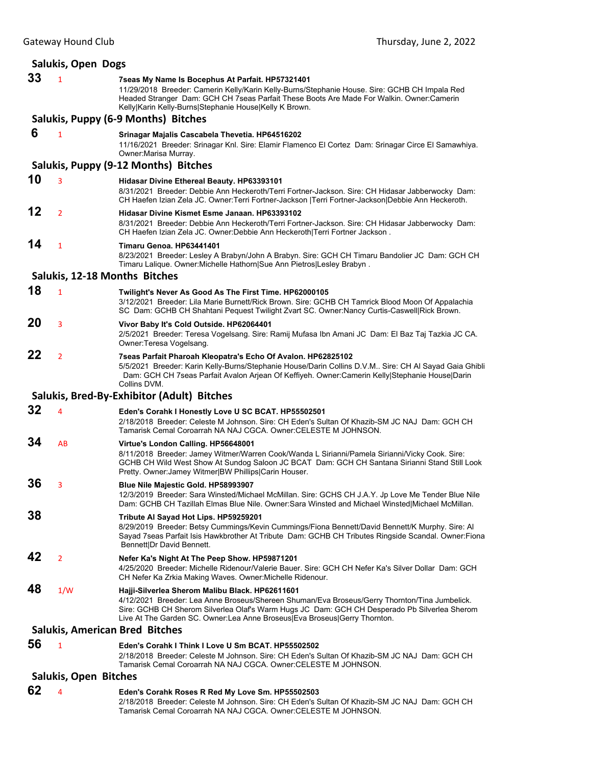| Salukis, Open Dogs                    |                |                                                                                                                                                                                                                                                                                                                               |  |
|---------------------------------------|----------------|-------------------------------------------------------------------------------------------------------------------------------------------------------------------------------------------------------------------------------------------------------------------------------------------------------------------------------|--|
| 33                                    | $\mathbf{1}$   | 7seas My Name Is Bocephus At Parfait. HP57321401<br>11/29/2018 Breeder: Camerin Kelly/Karin Kelly-Burns/Stephanie House. Sire: GCHB CH Impala Red<br>Headed Stranger Dam: GCH CH 7seas Parfait These Boots Are Made For Walkin. Owner:Camerin<br>Kelly Karin Kelly-Burns Stephanie House Kelly K Brown.                       |  |
|                                       |                | Salukis, Puppy (6-9 Months) Bitches                                                                                                                                                                                                                                                                                           |  |
| 6                                     | $\mathbf{1}$   | Srinagar Majalis Cascabela Thevetia. HP64516202<br>11/16/2021 Breeder: Srinagar Knl. Sire: Elamir Flamenco El Cortez Dam: Srinagar Circe El Samawhiya.<br>Owner: Marisa Murray.                                                                                                                                               |  |
|                                       |                | Salukis, Puppy (9-12 Months) Bitches                                                                                                                                                                                                                                                                                          |  |
| 10                                    | 3              | Hidasar Divine Ethereal Beauty. HP63393101<br>8/31/2021 Breeder: Debbie Ann Heckeroth/Terri Fortner-Jackson. Sire: CH Hidasar Jabberwocky Dam:<br>CH Haefen Izian Zela JC. Owner: Terri Fortner-Jackson   Terri Fortner-Jackson  Debbie Ann Heckeroth.                                                                        |  |
| 12                                    | $\overline{2}$ | Hidasar Divine Kismet Esme Janaan. HP63393102<br>8/31/2021 Breeder: Debbie Ann Heckeroth/Terri Fortner-Jackson. Sire: CH Hidasar Jabberwocky Dam:<br>CH Haefen Izian Zela JC. Owner:Debbie Ann Heckeroth Terri Fortner Jackson.                                                                                               |  |
| 14                                    | $\mathbf{1}$   | Timaru Genoa. HP63441401<br>8/23/2021 Breeder: Lesley A Brabyn/John A Brabyn. Sire: GCH CH Timaru Bandolier JC Dam: GCH CH<br>Timaru Lalique. Owner: Michelle Hathorn Sue Ann Pietros Lesley Brabyn.                                                                                                                          |  |
|                                       |                | Salukis, 12-18 Months Bitches                                                                                                                                                                                                                                                                                                 |  |
| 18                                    | $\overline{1}$ | Twilight's Never As Good As The First Time. HP62000105<br>3/12/2021 Breeder: Lila Marie Burnett/Rick Brown, Sire: GCHB CH Tamrick Blood Moon Of Appalachia<br>SC Dam: GCHB CH Shahtani Pequest Twilight Zvart SC. Owner:Nancy Curtis-Caswell Rick Brown.                                                                      |  |
| 20                                    | 3              | Vivor Baby It's Cold Outside. HP62064401<br>2/5/2021 Breeder: Teresa Vogelsang. Sire: Ramij Mufasa Ibn Amani JC Dam: El Baz Taj Tazkia JC CA.<br>Owner: Teresa Vogelsang.                                                                                                                                                     |  |
| 22                                    | $\overline{2}$ | 7seas Parfait Pharoah Kleopatra's Echo Of Avalon. HP62825102<br>5/5/2021 Breeder: Karin Kelly-Burns/Stephanie House/Darin Collins D.V.M Sire: CH Al Sayad Gaia Ghibli<br>Dam: GCH CH 7seas Parfait Avalon Arjean Of Keffiyeh. Owner:Camerin Kelly Stephanie House Darin<br>Collins DVM.                                       |  |
|                                       |                | Salukis, Bred-By-Exhibitor (Adult) Bitches                                                                                                                                                                                                                                                                                    |  |
| 32                                    | 4              | Eden's Corahk I Honestly Love U SC BCAT. HP55502501<br>2/18/2018 Breeder: Celeste M Johnson. Sire: CH Eden's Sultan Of Khazib-SM JC NAJ Dam: GCH CH<br>Tamarisk Cemal Coroarrah NA NAJ CGCA, Owner:CELESTE M JOHNSON,                                                                                                         |  |
| 34                                    | AB             | Virtue's London Calling. HP56648001<br>8/11/2018 Breeder: Jamey Witmer/Warren Cook/Wanda L Sirianni/Pamela Sirianni/Vicky Cook. Sire:<br>GCHB CH Wild West Show At Sundog Saloon JC BCAT Dam: GCH CH Santana Sirianni Stand Still Look<br>Pretty. Owner: Jamey Witmer BW Phillips Carin Houser.                               |  |
| 36                                    | 3              | Blue Nile Majestic Gold. HP58993907<br>12/3/2019 Breeder: Sara Winsted/Michael McMillan. Sire: GCHS CH J.A.Y. Jp Love Me Tender Blue Nile<br>Dam: GCHB CH Tazillah Elmas Blue Nile. Owner: Sara Winsted and Michael Winsted Michael McMillan.                                                                                 |  |
| 38                                    |                | Tribute Al Sayad Hot Lips. HP59259201<br>8/29/2019 Breeder: Betsy Cummings/Kevin Cummings/Fiona Bennett/David Bennett/K Murphy. Sire: Al<br>Sayad 7seas Parfait Isis Hawkbrother At Tribute Dam: GCHB CH Tributes Ringside Scandal. Owner:Fiona<br>Bennett Dr David Bennett.                                                  |  |
| 42                                    | $\overline{2}$ | Nefer Ka's Night At The Peep Show. HP59871201<br>4/25/2020 Breeder: Michelle Ridenour/Valerie Bauer. Sire: GCH CH Nefer Ka's Silver Dollar Dam: GCH<br>CH Nefer Ka Zrkia Making Waves. Owner: Michelle Ridenour.                                                                                                              |  |
| 48                                    | 1/W            | Hajji-Silverlea Sherom Malibu Black. HP62611601<br>4/12/2021 Breeder: Lea Anne Broseus/Shereen Shuman/Eva Broseus/Gerry Thornton/Tina Jumbelick.<br>Sire: GCHB CH Sherom Silverlea Olaf's Warm Hugs JC Dam: GCH CH Desperado Pb Silverlea Sherom<br>Live At The Garden SC. Owner:Lea Anne Broseus Eva Broseus Gerry Thornton. |  |
| <b>Salukis, American Bred Bitches</b> |                |                                                                                                                                                                                                                                                                                                                               |  |
| 56                                    | 1              | Eden's Corahk I Think I Love U Sm BCAT. HP55502502<br>2/18/2018 Breeder: Celeste M Johnson. Sire: CH Eden's Sultan Of Khazib-SM JC NAJ Dam: GCH CH<br>Tamarisk Cemal Coroarrah NA NAJ CGCA. Owner:CELESTE M JOHNSON.                                                                                                          |  |
| <b>Salukis, Open Bitches</b>          |                |                                                                                                                                                                                                                                                                                                                               |  |
| 62                                    | 4              | Eden's Corahk Roses R Red My Love Sm. HP55502503<br>2/18/2018 Breeder: Celeste M Johnson. Sire: CH Eden's Sultan Of Khazib-SM JC NAJ Dam: GCH CH                                                                                                                                                                              |  |

Tamarisk Cemal Coroarrah NA NAJ CGCA. Owner:CELESTE M JOHNSON.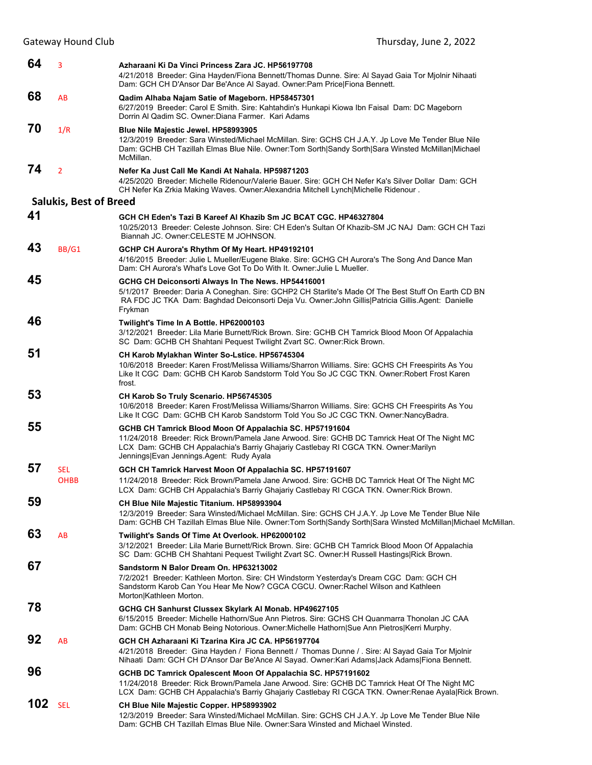| 64  | 3                             | Azharaani Ki Da Vinci Princess Zara JC. HP56197708<br>4/21/2018 Breeder: Gina Hayden/Fiona Bennett/Thomas Dunne. Sire: Al Sayad Gaia Tor Mjolnir Nihaati<br>Dam: GCH CH D'Ansor Dar Be'Ance Al Sayad. Owner: Pam Price Fiona Bennett.                                                       |
|-----|-------------------------------|---------------------------------------------------------------------------------------------------------------------------------------------------------------------------------------------------------------------------------------------------------------------------------------------|
| 68  | AB                            | Qadim Alhaba Najam Satie of Mageborn. HP58457301<br>6/27/2019 Breeder: Carol E Smith. Sire: Kahtahdin's Hunkapi Kiowa Ibn Faisal Dam: DC Mageborn<br>Dorrin Al Qadim SC. Owner: Diana Farmer. Kari Adams                                                                                    |
| 70  | 1/R                           | Blue Nile Majestic Jewel. HP58993905<br>12/3/2019 Breeder: Sara Winsted/Michael McMillan. Sire: GCHS CH J.A.Y. Jp Love Me Tender Blue Nile<br>Dam: GCHB CH Tazillah Elmas Blue Nile. Owner: Tom Sorth Sandy Sorth Sara Winsted McMillan Michael<br>McMillan.                                |
| 74  | $\overline{2}$                | Nefer Ka Just Call Me Kandi At Nahala, HP59871203<br>4/25/2020 Breeder: Michelle Ridenour/Valerie Bauer. Sire: GCH CH Nefer Ka's Silver Dollar Dam: GCH<br>CH Nefer Ka Zrkia Making Waves. Owner: Alexandria Mitchell Lynch Michelle Ridenour.                                              |
|     | <b>Salukis, Best of Breed</b> |                                                                                                                                                                                                                                                                                             |
| 41  |                               | GCH CH Eden's Tazi B Kareef Al Khazib Sm JC BCAT CGC. HP46327804<br>10/25/2013 Breeder: Celeste Johnson. Sire: CH Eden's Sultan Of Khazib-SM JC NAJ Dam: GCH CH Tazi<br>Biannah JC. Owner: CELESTE M JOHNSON.                                                                               |
| 43  | BB/G1                         | GCHP CH Aurora's Rhythm Of My Heart. HP49192101<br>4/16/2015 Breeder: Julie L Mueller/Eugene Blake. Sire: GCHG CH Aurora's The Song And Dance Man<br>Dam: CH Aurora's What's Love Got To Do With It. Owner: Julie L Mueller.                                                                |
| 45  |                               | GCHG CH Deiconsorti Always In The News. HP54416001<br>5/1/2017 Breeder: Daria A Coneghan. Sire: GCHP2 CH Starlite's Made Of The Best Stuff On Earth CD BN<br>RA FDC JC TKA Dam: Baghdad Deiconsorti Deja Vu. Owner: John Gillis Patricia Gillis.Agent: Danielle<br>Frykman                  |
| 46  |                               | Twilight's Time In A Bottle. HP62000103<br>3/12/2021 Breeder: Lila Marie Burnett/Rick Brown. Sire: GCHB CH Tamrick Blood Moon Of Appalachia<br>SC Dam: GCHB CH Shahtani Pequest Twilight Zvart SC. Owner: Rick Brown.                                                                       |
| 51  |                               | CH Karob Mylakhan Winter So-Lstice. HP56745304<br>10/6/2018 Breeder: Karen Frost/Melissa Williams/Sharron Williams. Sire: GCHS CH Freespirits As You<br>Like It CGC Dam: GCHB CH Karob Sandstorm Told You So JC CGC TKN. Owner: Robert Frost Karen<br>frost.                                |
| 53  |                               | CH Karob So Truly Scenario. HP56745305<br>10/6/2018 Breeder: Karen Frost/Melissa Williams/Sharron Williams. Sire: GCHS CH Freespirits As You<br>Like It CGC Dam: GCHB CH Karob Sandstorm Told You So JC CGC TKN. Owner:NancyBadra.                                                          |
| 55  |                               | GCHB CH Tamrick Blood Moon Of Appalachia SC. HP57191604<br>11/24/2018 Breeder: Rick Brown/Pamela Jane Arwood. Sire: GCHB DC Tamrick Heat Of The Night MC<br>LCX Dam: GCHB CH Appalachia's Barriy Ghajariy Castlebay RI CGCA TKN. Owner: Marilyn<br>Jennings Evan Jennings.Agent: Rudy Ayala |
| 57  | <b>SEL</b><br><b>OHBB</b>     | GCH CH Tamrick Harvest Moon Of Appalachia SC. HP57191607<br>11/24/2018 Breeder: Rick Brown/Pamela Jane Arwood. Sire: GCHB DC Tamrick Heat Of The Night MC<br>LCX Dam: GCHB CH Appalachia's Barriy Ghajariy Castlebay RI CGCA TKN. Owner: Rick Brown.                                        |
| 59  |                               | CH Blue Nile Majestic Titanium. HP58993904<br>12/3/2019 Breeder: Sara Winsted/Michael McMillan. Sire: GCHS CH J.A.Y. Jp Love Me Tender Blue Nile<br>Dam: GCHB CH Tazillah Elmas Blue Nile. Owner: Tom Sorth Sandy Sorth Sara Winsted McMillan Michael McMillan.                             |
| 63  | AB                            | Twilight's Sands Of Time At Overlook. HP62000102<br>3/12/2021 Breeder: Lila Marie Burnett/Rick Brown. Sire: GCHB CH Tamrick Blood Moon Of Appalachia<br>SC Dam: GCHB CH Shahtani Pequest Twilight Zvart SC. Owner: H Russell Hastings Rick Brown.                                           |
| 67  |                               | Sandstorm N Balor Dream On. HP63213002<br>7/2/2021 Breeder: Kathleen Morton. Sire: CH Windstorm Yesterday's Dream CGC Dam: GCH CH<br>Sandstorm Karob Can You Hear Me Now? CGCA CGCU. Owner: Rachel Wilson and Kathleen<br>Morton Kathleen Morton.                                           |
| 78  |                               | GCHG CH Sanhurst Clussex Skylark Al Monab. HP49627105<br>6/15/2015 Breeder: Michelle Hathorn/Sue Ann Pietros. Sire: GCHS CH Quanmarra Thonolan JC CAA<br>Dam: GCHB CH Monab Being Notorious. Owner:Michelle Hathorn Sue Ann Pietros Kerri Murphy.                                           |
| 92  | AB                            | GCH CH Azharaani Ki Tzarina Kira JC CA, HP56197704<br>4/21/2018 Breeder: Gina Hayden / Fiona Bennett / Thomas Dunne / Sire: Al Sayad Gaia Tor Mjolnir<br>Nihaati Dam: GCH CH D'Ansor Dar Be'Ance Al Sayad. Owner:Kari Adams Jack Adams Fiona Bennett.                                       |
| 96  |                               | GCHB DC Tamrick Opalescent Moon Of Appalachia SC. HP57191602<br>11/24/2018 Breeder: Rick Brown/Pamela Jane Arwood. Sire: GCHB DC Tamrick Heat Of The Night MC<br>LCX Dam: GCHB CH Appalachia's Barriy Ghajariy Castlebay RI CGCA TKN. Owner:Renae Ayala Rick Brown.                         |
| 102 | <b>SEL</b>                    | CH Blue Nile Majestic Copper. HP58993902<br>12/3/2019 Breeder: Sara Winsted/Michael McMillan. Sire: GCHS CH J.A.Y. Jp Love Me Tender Blue Nile<br>Dam: GCHB CH Tazillah Elmas Blue Nile. Owner: Sara Winsted and Michael Winsted.                                                           |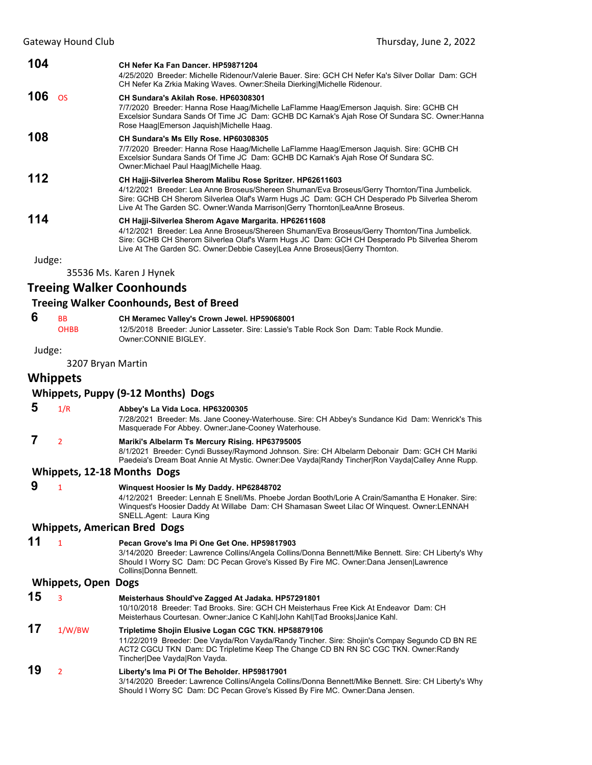| 104       | CH Nefer Ka Fan Dancer, HP59871204<br>4/25/2020 Breeder: Michelle Ridenour/Valerie Bauer. Sire: GCH CH Nefer Ka's Silver Dollar Dam: GCH<br>CH Nefer Ka Zrkia Making Waves. Owner:Sheila Dierking Michelle Ridenour.                                                                                                                        |
|-----------|---------------------------------------------------------------------------------------------------------------------------------------------------------------------------------------------------------------------------------------------------------------------------------------------------------------------------------------------|
| 106<br>OS | CH Sundara's Akilah Rose, HP60308301<br>7/7/2020 Breeder: Hanna Rose Haag/Michelle LaFlamme Haag/Emerson Jaquish. Sire: GCHB CH<br>Excelsior Sundara Sands Of Time JC Dam: GCHB DC Karnak's Ajah Rose Of Sundara SC. Owner: Hanna<br>Rose Haag Emerson Jaquish Michelle Haag.                                                               |
| 108       | CH Sundara's Ms Elly Rose. HP60308305<br>7/7/2020 Breeder: Hanna Rose Haag/Michelle LaFlamme Haag/Emerson Jaquish. Sire: GCHB CH<br>Excelsior Sundara Sands Of Time JC Dam: GCHB DC Karnak's Ajah Rose Of Sundara SC.<br>Owner: Michael Paul Haag Michelle Haag.                                                                            |
| 112       | CH Hajji-Silverlea Sherom Malibu Rose Spritzer. HP62611603<br>4/12/2021 Breeder: Lea Anne Broseus/Shereen Shuman/Eva Broseus/Gerry Thornton/Tina Jumbelick.<br>Sire: GCHB CH Sherom Silverlea Olaf's Warm Hugs JC Dam: GCH CH Desperado Pb Silverlea Sherom<br>Live At The Garden SC. Owner: Wanda Marrison Gerry Thornton LeaAnne Broseus. |
| 114       | CH Hajji-Silverlea Sherom Agave Margarita. HP62611608<br>4/12/2021 Breeder: Lea Anne Broseus/Shereen Shuman/Eva Broseus/Gerry Thornton/Tina Jumbelick.<br>Sire: GCHB CH Sherom Silverlea Olaf's Warm Hugs JC Dam: GCH CH Desperado Pb Silverlea Sherom<br>Live At The Garden SC. Owner:Debbie Casey Lea Anne Broseus Gerry Thornton.        |
| Judge:    |                                                                                                                                                                                                                                                                                                                                             |

35536 Ms. Karen J Hynek

# **Treeing Walker Coonhounds**

#### **Treeing Walker Coonhounds, Best of Breed**

Judge:

# **6** BB **CH Meramec Valley's Crown Jewel. HP59068001**<br>**CHBB** 12/5/2018 Breeder: Junior Lasseter. Sire: Lassie's

12/5/2018 Breeder: Junior Lasseter. Sire: Lassie's Table Rock Son Dam: Table Rock Mundie. Owner:CONNIE BIGLEY.

3207 Bryan Martin

#### **Whippets**

#### **Whippets, Puppy (9‐12 Months) Dogs**

- **5** 1/R **Abbey's La Vida Loca. HP63200305** 7/28/2021 Breeder: Ms. Jane Cooney-Waterhouse. Sire: CH Abbey's Sundance Kid Dam: Wenrick's This Masquerade For Abbey. Owner:Jane-Cooney Waterhouse.  **7** <sup>2</sup> **Mariki's Albelarm Ts Mercury Rising. HP63795005**
- 

8/1/2021 Breeder: Cyndi Bussey/Raymond Johnson. Sire: CH Albelarm Debonair Dam: GCH CH Mariki Paedeia's Dream Boat Annie At Mystic. Owner:Dee Vayda|Randy Tincher|Ron Vayda|Calley Anne Rupp.

#### **Whippets, 12‐18 Months Dogs**

| 9 | $\blacksquare$ | Winguest Hoosier Is My Daddy. HP62848702                                                          |
|---|----------------|---------------------------------------------------------------------------------------------------|
|   |                | 4/12/2021 Breeder: Lennah E Snell/Ms. Phoebe Jordan Booth/Lorie A Crain/Samantha E Honaker, Sire: |
|   |                | Winguest's Hoosier Daddy At Willabe Dam: CH Shamasan Sweet Lilac Of Winguest. Owner:LENNAH        |
|   |                | SNELL Agent: Laura King                                                                           |
|   |                |                                                                                                   |

#### **Whippets, American Bred Dogs**

| 11 | Pecan Grove's Ima Pi One Get One. HP59817903                |  |
|----|-------------------------------------------------------------|--|
|    | 3/14/2020 Breeder: Lawrence Collins/Angela Collins/Donna Be |  |

ennett/Mike Bennett. Sire: CH Liberty's Why Should I Worry SC Dam: DC Pecan Grove's Kissed By Fire MC. Owner:Dana Jensen|Lawrence Collins|Donna Bennett.

### **Whippets, Open Dogs**

| 15 |        | Meisterhaus Should've Zagged At Jadaka. HP57291801<br>10/10/2018 Breeder: Tad Brooks, Sire: GCH CH Meisterhaus Free Kick At Endeavor Dam: CH<br>Meisterhaus Courtesan. Owner: Janice C Kahl John Kahl Tad Brooks Janice Kahl.                                              |
|----|--------|----------------------------------------------------------------------------------------------------------------------------------------------------------------------------------------------------------------------------------------------------------------------------|
| 17 | 1/W/BW | Tripletime Shojin Elusive Logan CGC TKN. HP58879106<br>11/22/2019 Breeder: Dee Vayda/Ron Vayda/Randy Tincher. Sire: Shojin's Compay Segundo CD BN RE<br>ACT2 CGCU TKN Dam: DC Tripletime Keep The Change CD BN RN SC CGC TKN. Owner: Randy<br>Tincher Dee Vayda Ron Vayda. |
| 19 |        | Liberty's Ima Pi Of The Beholder. HP59817901<br>3/11/2020 Rreader: Lawrence Collins/Angels Collins/Donna Reppett/Mike Reppett, Sire: CH Liberty's Wh                                                                                                                       |

Collins/Angela Collins/Donna Bennett/Mike Bennett. Sire: CH Liberty's Why Should I Worry SC Dam: DC Pecan Grove's Kissed By Fire MC. Owner:Dana Jensen.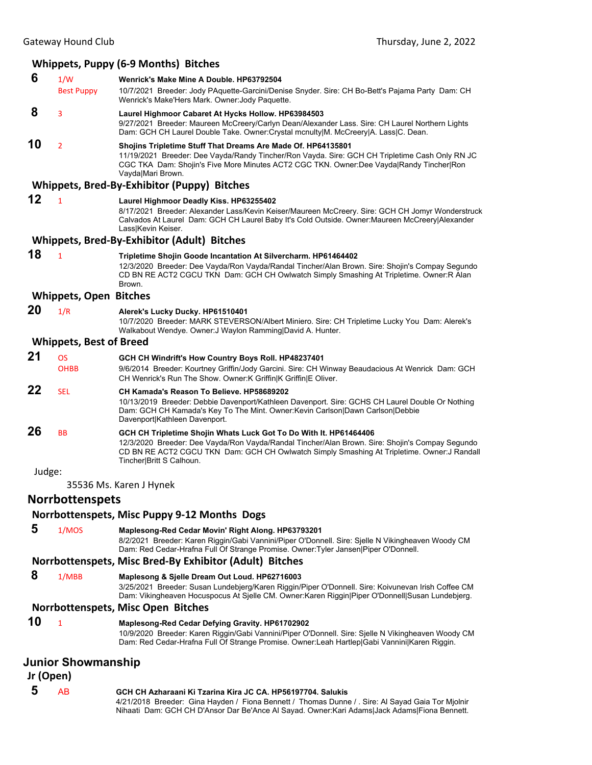# **Whippets, Puppy (6‐9 Months) Bitches**

| 6         | 1/W<br><b>Best Puppy</b>       | Wenrick's Make Mine A Double. HP63792504<br>10/7/2021 Breeder: Jody PAquette-Garcini/Denise Snyder. Sire: CH Bo-Bett's Pajama Party Dam: CH                                                                                                                                                     |
|-----------|--------------------------------|-------------------------------------------------------------------------------------------------------------------------------------------------------------------------------------------------------------------------------------------------------------------------------------------------|
|           |                                | Wenrick's Make'Hers Mark. Owner: Jody Paquette.                                                                                                                                                                                                                                                 |
| 8         | 3                              | Laurel Highmoor Cabaret At Hycks Hollow. HP63984503<br>9/27/2021 Breeder: Maureen McCreery/Carlyn Dean/Alexander Lass. Sire: CH Laurel Northern Lights<br>Dam: GCH CH Laurel Double Take. Owner: Crystal mcnulty M. McCreery A. Lass C. Dean.                                                   |
| 10        | $\overline{2}$                 | Shojins Tripletime Stuff That Dreams Are Made Of. HP64135801<br>11/19/2021 Breeder: Dee Vayda/Randy Tincher/Ron Vayda. Sire: GCH CH Tripletime Cash Only RN JC<br>CGC TKA Dam: Shojin's Five More Minutes ACT2 CGC TKN. Owner:Dee Vayda Randy Tincher Ron<br>Vayda Mari Brown.                  |
|           |                                | Whippets, Bred-By-Exhibitor (Puppy) Bitches                                                                                                                                                                                                                                                     |
| 12        | $\mathbf{1}$                   | Laurel Highmoor Deadly Kiss. HP63255402<br>8/17/2021 Breeder: Alexander Lass/Kevin Keiser/Maureen McCreery. Sire: GCH CH Jomyr Wonderstruck<br>Calvados At Laurel Dam: GCH CH Laurel Baby It's Cold Outside. Owner: Maureen McCreery Alexander<br>Lass Kevin Keiser.                            |
|           |                                | Whippets, Bred-By-Exhibitor (Adult) Bitches                                                                                                                                                                                                                                                     |
| 18        | $\mathbf{1}$                   | Tripletime Shojin Goode Incantation At Silvercharm. HP61464402<br>12/3/2020 Breeder: Dee Vayda/Ron Vayda/Randal Tincher/Alan Brown. Sire: Shojin's Compay Segundo<br>CD BN RE ACT2 CGCU TKN Dam: GCH CH Owlwatch Simply Smashing At Tripletime. Owner:R Alan<br>Brown.                          |
|           | <b>Whippets, Open Bitches</b>  |                                                                                                                                                                                                                                                                                                 |
| 20        | 1/R                            | Alerek's Lucky Ducky. HP61510401<br>10/7/2020 Breeder: MARK STEVERSON/Albert Miniero. Sire: CH Tripletime Lucky You Dam: Alerek's<br>Walkabout Wendye. Owner: J Waylon Ramming David A. Hunter.                                                                                                 |
|           | <b>Whippets, Best of Breed</b> |                                                                                                                                                                                                                                                                                                 |
| 21        | <b>OS</b>                      | GCH CH Windrift's How Country Boys Roll. HP48237401                                                                                                                                                                                                                                             |
|           | <b>OHBB</b>                    | 9/6/2014 Breeder: Kourtney Griffin/Jody Garcini. Sire: CH Winway Beaudacious At Wenrick Dam: GCH<br>CH Wenrick's Run The Show. Owner: K Griffin K Griffin E Oliver.                                                                                                                             |
| 22        | <b>SEL</b>                     | CH Kamada's Reason To Believe. HP58689202<br>10/13/2019 Breeder: Debbie Davenport/Kathleen Davenport. Sire: GCHS CH Laurel Double Or Nothing<br>Dam: GCH CH Kamada's Key To The Mint. Owner: Kevin Carlson Dawn Carlson Debbie<br>Davenport Kathleen Davenport.                                 |
| 26        | BB                             | GCH CH Tripletime Shojin Whats Luck Got To Do With It. HP61464406<br>12/3/2020 Breeder: Dee Vayda/Ron Vayda/Randal Tincher/Alan Brown. Sire: Shojin's Compay Segundo<br>CD BN RE ACT2 CGCU TKN Dam: GCH CH Owlwatch Simply Smashing At Tripletime. Owner: J Randall<br>Tincher Britt S Calhoun. |
| Judge:    |                                |                                                                                                                                                                                                                                                                                                 |
|           |                                | 35536 Ms. Karen J Hynek                                                                                                                                                                                                                                                                         |
|           | Norrbottenspets                |                                                                                                                                                                                                                                                                                                 |
|           |                                | Norrbottenspets, Misc Puppy 9-12 Months Dogs                                                                                                                                                                                                                                                    |
| 5         | 1/MOS                          | Maplesong-Red Cedar Movin' Right Along. HP63793201<br>8/2/2021 Breeder: Karen Riggin/Gabi Vannini/Piper O'Donnell. Sire: Sjelle N Vikingheaven Woody CM<br>Dam: Red Cedar-Hrafna Full Of Strange Promise. Owner:Tyler Jansen Piper O'Donnell.                                                   |
|           |                                | Norrbottenspets, Misc Bred-By Exhibitor (Adult) Bitches                                                                                                                                                                                                                                         |
| 8         | 1/MBB                          | Maplesong & Sjelle Dream Out Loud. HP62716003<br>3/25/2021 Breeder: Susan Lundebjerg/Karen Riggin/Piper O'Donnell. Sire: Koivunevan Irish Coffee CM<br>Dam: Vikingheaven Hocuspocus At Sjelle CM. Owner:Karen Riggin Piper O'Donnell Susan Lundebjerg.                                          |
|           |                                | Norrbottenspets, Misc Open Bitches                                                                                                                                                                                                                                                              |
| 10        | 1                              | Maplesong-Red Cedar Defying Gravity. HP61702902<br>10/9/2020 Breeder: Karen Riggin/Gabi Vannini/Piper O'Donnell. Sire: Sjelle N Vikingheaven Woody CM<br>Dam: Red Cedar-Hrafna Full Of Strange Promise. Owner:Leah Hartlep Gabi Vannini Karen Riggin.                                           |
| Jr (Open) | Junior Showmanship             |                                                                                                                                                                                                                                                                                                 |
| 5         | <b>AB</b>                      | GCH CH Azharaani Ki Tzarina Kira JC CA. HP56197704. Salukis<br>4/21/2018 Breeder: Gina Hayden / Fiona Bennett / Thomas Dunne / . Sire: Al Sayad Gaia Tor Mjolnir                                                                                                                                |

Nihaati Dam: GCH CH D'Ansor Dar Be'Ance Al Sayad. Owner:Kari Adams|Jack Adams|Fiona Bennett.